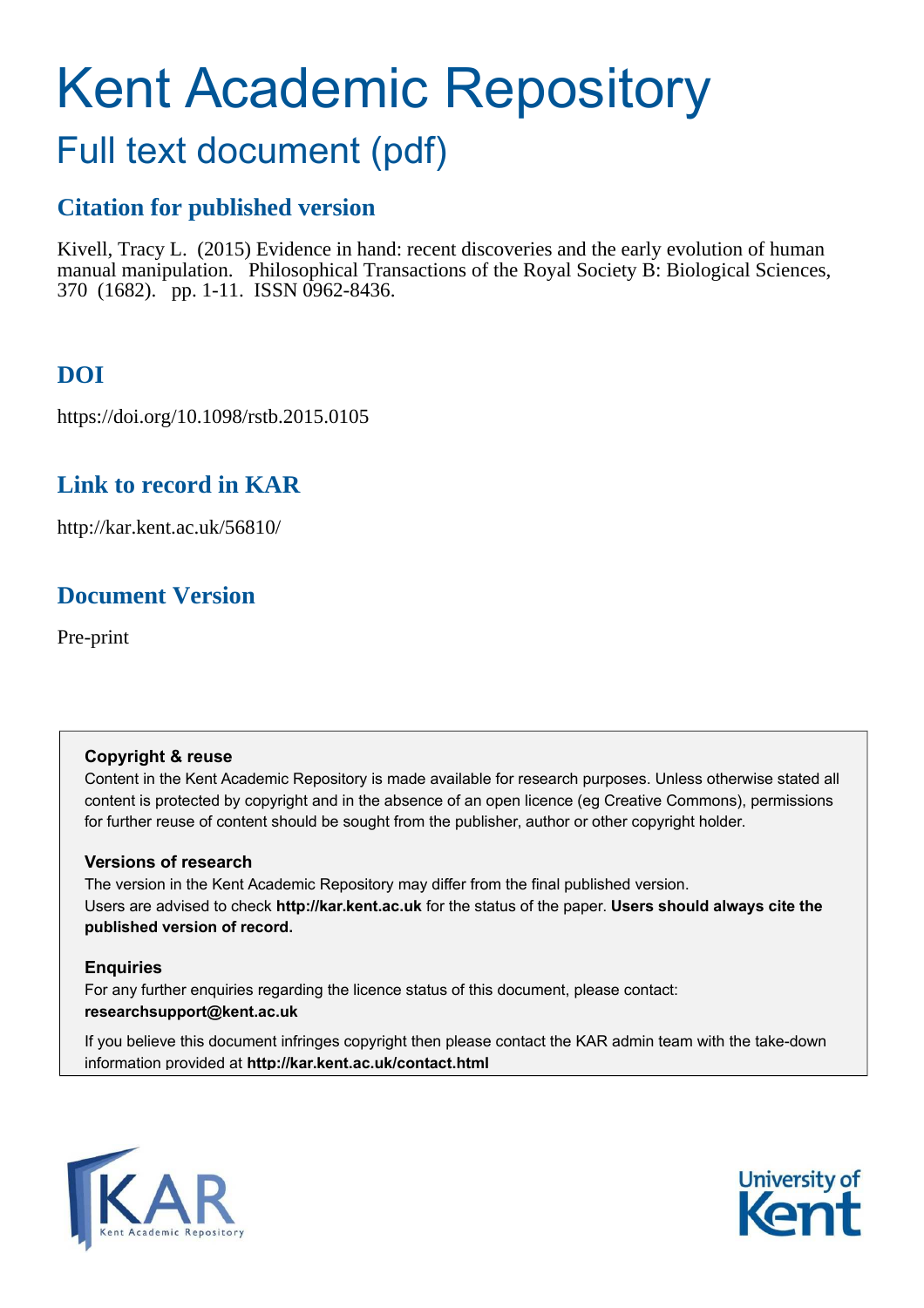# Kent Academic Repository

## Full text document (pdf)

## **Citation for published version**

Kivell, Tracy L. (2015) Evidence in hand: recent discoveries and the early evolution of human manual manipulation. Philosophical Transactions of the Royal Society B: Biological Sciences, 370 (1682). pp. 1-11. ISSN 0962-8436.

## **DOI**

https://doi.org/10.1098/rstb.2015.0105

## **Link to record in KAR**

http://kar.kent.ac.uk/56810/

## **Document Version**

Pre-print

## **Copyright & reuse**

Content in the Kent Academic Repository is made available for research purposes. Unless otherwise stated all content is protected by copyright and in the absence of an open licence (eg Creative Commons), permissions for further reuse of content should be sought from the publisher, author or other copyright holder.

## **Versions of research**

The version in the Kent Academic Repository may differ from the final published version. Users are advised to check **http://kar.kent.ac.uk** for the status of the paper. **Users should always cite the published version of record.**

## **Enquiries**

For any further enquiries regarding the licence status of this document, please contact: **researchsupport@kent.ac.uk**

If you believe this document infringes copyright then please contact the KAR admin team with the take-down information provided at **http://kar.kent.ac.uk/contact.html**



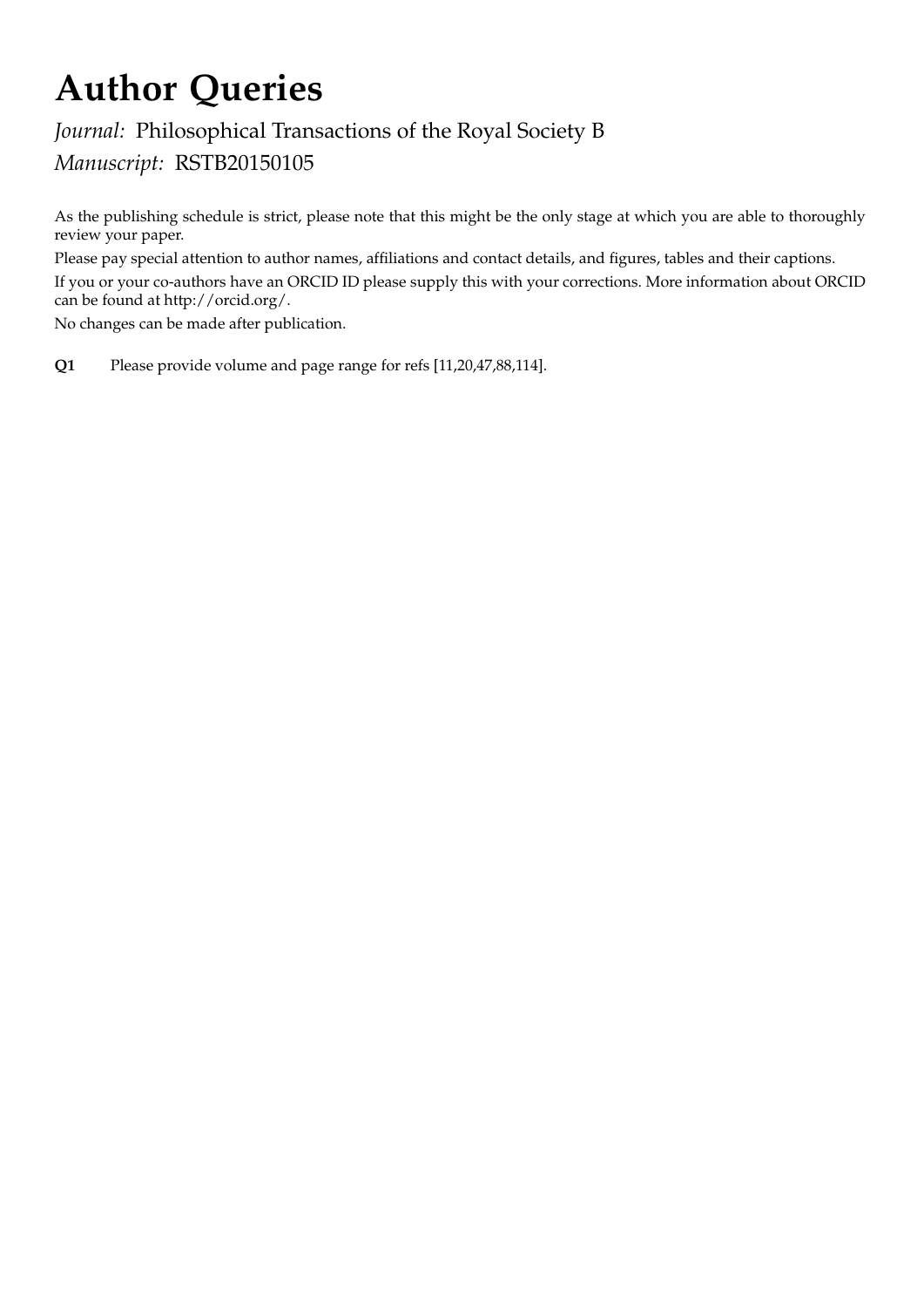## Author Queries

## Journal: Philosophical Transactions of the Royal Society B Manuscript: RSTB20150105

As the publishing schedule is strict, please note that this might be the only stage at which you are able to thoroughly review your paper.

Please pay special attention to author names, affiliations and contact details, and figures, tables and their captions.

If you or your co-authors have an ORCID ID please supply this with your corrections. More information about ORCID can be found at http://orcid.org/.

No changes can be made after publication.

Q1 Please provide volume and page range for refs [11,20,47,88,114].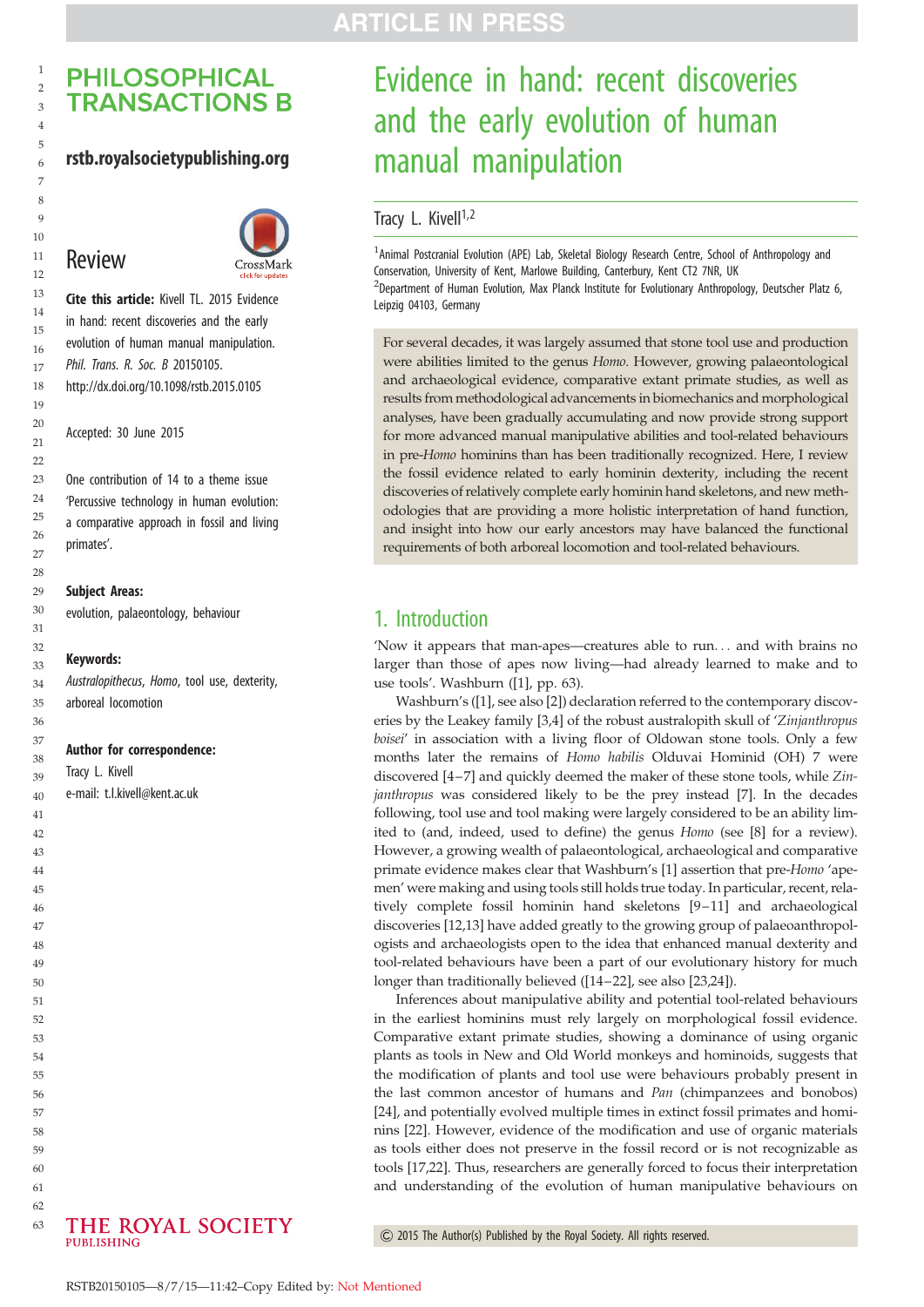#### <span id="page-2-0"></span>rstb.royalsocietypublishing.org

## Review



Cite this article: Kivell TL. 2015 Evidence in hand: recent discoveries and the early evolution of human manual manipulation. *Phil. Trans. R. Soc. B* 20150105. http://dx.doi.org/10.1098/rstb.2015.0105

Accepted: 30 June 2015

One contribution of 14 to a theme issue 'Percussive technology in human evolution: a comparative approach in fossil and living primates'.

#### Subject Areas:

evolution, palaeontology, behaviour

#### Keywords:

*Australopithecus*, *Homo*, tool use, dexterity, arboreal locomotion

#### Author for correspondence:

Tracy L. Kivell

e-mail: [t.l.kivell@kent.ac.uk](mailto:t.l.kivell@kent.ac.uk)



## Evidence in hand: recent discoveries and the early evolution of human manual manipulation

### Tracy L. Kivell<sup>1,2</sup>

<sup>1</sup> Animal Postcranial Evolution (APE) Lab, Skeletal Biology Research Centre, School of Anthropology and Conservation, University of Kent, Marlowe Building, Canterbury, Kent CT2 7NR, UK  $^{2}$ Department of Human Evolution, Max Planck Institute for Evolutionary Anthropology, Deutscher Platz 6, Leipzig 04103, Germany

For several decades, it was largely assumed that stone tool use and production were abilities limited to the genus Homo. However, growing palaeontological and archaeological evidence, comparative extant primate studies, as well as results from methodological advancements in biomechanics and morphological analyses, have been gradually accumulating and now provide strong support for more advanced manual manipulative abilities and tool-related behaviours in pre-Homo hominins than has been traditionally recognized. Here, I review the fossil evidence related to early hominin dexterity, including the recent discoveries of relatively complete early hominin hand skeletons, and new methodologies that are providing a more holistic interpretation of hand function, and insight into how our early ancestors may have balanced the functional requirements of both arboreal locomotion and tool-related behaviours.

## 1. Introduction

'Now it appears that man-apes—creatures able to run... and with brains no larger than those of apes now living—had already learned to make and to use tools'. Washburn ([[1](#page-8-0)], pp. 63).

Washburn's ([\[1\]](#page-8-0), see also [[2](#page-8-0)]) declaration referred to the contemporary discoveries by the Leakey family [\[3](#page-8-0),[4](#page-8-0)] of the robust australopith skull of 'Zinjanthropus boisei' in association with a living floor of Oldowan stone tools. Only a few months later the remains of Homo habilis Olduvai Hominid (OH) 7 were discovered [\[4](#page-8-0)–[7](#page-8-0)] and quickly deemed the maker of these stone tools, while Zinjanthropus was considered likely to be the prey instead [[7](#page-8-0)]. In the decades following, tool use and tool making were largely considered to be an ability limited to (and, indeed, used to define) the genus Homo (see [\[8\]](#page-8-0) for a review). However, a growing wealth of palaeontological, archaeological and comparative primate evidence makes clear that Washburn's [\[1](#page-8-0)] assertion that pre-Homo 'apemen' were making and using tools still holds true today. In particular, recent, relatively complete fossil hominin hand skeletons [\[9](#page-8-0)–[11\]](#page-8-0) and archaeological discoveries [[12,13](#page-8-0)] have added greatly to the growing group of palaeoanthropologists and archaeologists open to the idea that enhanced manual dexterity and tool-related behaviours have been a part of our evolutionary history for much longer than traditionally believed ([[14](#page-8-0)–[22\]](#page-8-0), see also [[23,24\]](#page-8-0)).

Inferences about manipulative ability and potential tool-related behaviours in the earliest hominins must rely largely on morphological fossil evidence. Comparative extant primate studies, showing a dominance of using organic plants as tools in New and Old World monkeys and hominoids, suggests that the modification of plants and tool use were behaviours probably present in the last common ancestor of humans and Pan (chimpanzees and bonobos) [[24\]](#page-8-0), and potentially evolved multiple times in extinct fossil primates and hominins [\[22](#page-8-0)]. However, evidence of the modification and use of organic materials as tools either does not preserve in the fossil record or is not recognizable as tools [\[17](#page-8-0),[22\]](#page-8-0). Thus, researchers are generally forced to focus their interpretation and understanding of the evolution of human manipulative behaviours on



& 2015 The Author(s) Published by the Royal Society. All rights reserved.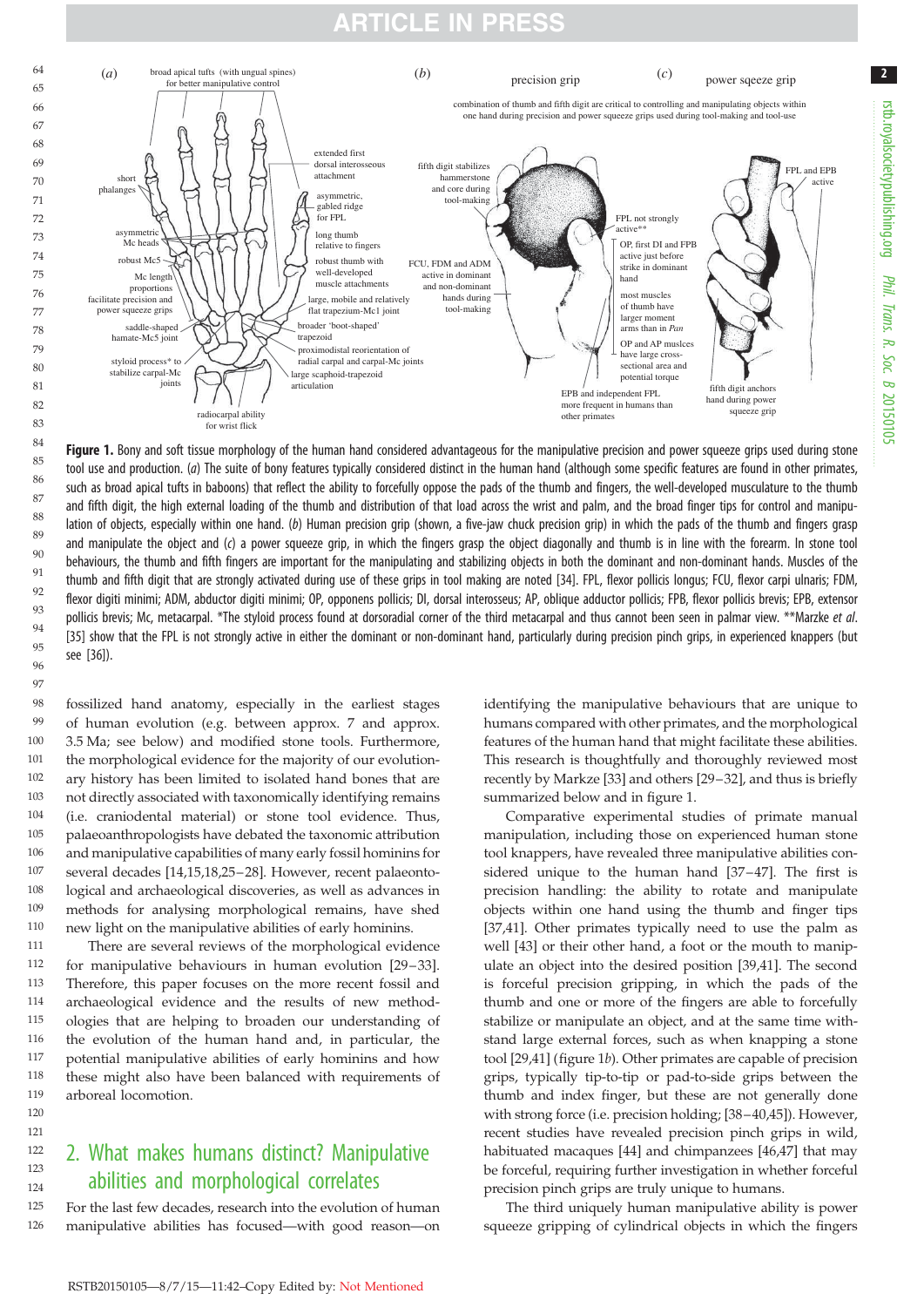

Figure 1. Bony and soft tissue morphology of the human hand considered advantageous for the manipulative precision and power squeeze grips used during stone tool use and production. (*a*) The suite of bony features typically considered distinct in the human hand (although some specific features are found in other primates, such as broad apical tufts in baboons) that reflect the ability to forcefully oppose the pads of the thumb and fingers, the well-developed musculature to the thumb and fifth digit, the high external loading of the thumb and distribution of that load across the wrist and palm, and the broad finger tips for control and manipulation of objects, especially within one hand. (*b*) Human precision grip (shown, a five-jaw chuck precision grip) in which the pads of the thumb and fingers grasp and manipulate the object and (*c*) a power squeeze grip, in which the fingers grasp the object diagonally and thumb is in line with the forearm. In stone tool behaviours, the thumb and fifth fingers are important for the manipulating and stabilizing objects in both the dominant and non-dominant hands. Muscles of the thumb and fifth digit that are strongly activated during use of these grips in tool making are noted [\[34\]](#page-9-0). FPL, flexor pollicis longus; FCU, flexor carpi ulnaris; FDM, flexor digiti minimi; ADM, abductor digiti minimi; OP, opponens pollicis; DI, dorsal interosseus; AP, oblique adductor pollicis; FPB, flexor pollicis brevis; EPB, extensor pollicis brevis; Mc, metacarpal. \*The styloid process found at dorsoradial corner of the third metacarpal and thus cannot been seen in palmar view. \*\*Marzke *et al*. [\[35\]](#page-9-0) show that the FPL is not strongly active in either the dominant or non-dominant hand, particularly during precision pinch grips, in experienced knappers (but see [\[36\]](#page-9-0)).  $83$ 84 85 86 87 88 89 90 91  $92$ 93  $Q\ddot{A}$  $95$ 96 97

fossilized hand anatomy, especially in the earliest stages of human evolution (e.g. between approx. 7 and approx. 3.5 Ma; see below) and modified stone tools. Furthermore, the morphological evidence for the majority of our evolutionary history has been limited to isolated hand bones that are not directly associated with taxonomically identifying remains (i.e. craniodental material) or stone tool evidence. Thus, palaeoanthropologists have debated the taxonomic attribution and manipulative capabilities of many early fossil hominins for several decades [\[14](#page-8-0),[15](#page-8-0),[18,25](#page-8-0)–[28\]](#page-8-0). However, recent palaeontological and archaeological discoveries, as well as advances in methods for analysing morphological remains, have shed new light on the manipulative abilities of early hominins. 98 99 100 101 102 103 104 105 106 107 108 109 110

There are several reviews of the morphological evidence for manipulative behaviours in human evolution [\[29](#page-8-0)–[33](#page-9-0)]. Therefore, this paper focuses on the more recent fossil and archaeological evidence and the results of new methodologies that are helping to broaden our understanding of the evolution of the human hand and, in particular, the potential manipulative abilities of early hominins and how these might also have been balanced with requirements of arboreal locomotion. 111 112 113 114 115 116 117 118 119

#### 2. What makes humans distinct? Manipulative abilities and morphological correlates 122 123

120 121

124

For the last few decades, research into the evolution of human manipulative abilities has focused—with good reason—on 125 126

identifying the manipulative behaviours that are unique to humans compared with other primates, and the morphological features of the human hand that might facilitate these abilities. This research is thoughtfully and thoroughly reviewed most recently by Markze [[33](#page-9-0)] and others [[29](#page-8-0)–[32\]](#page-9-0), and thus is briefly summarized below and in [figure 1.](#page-2-0)

Comparative experimental studies of primate manual manipulation, including those on experienced human stone tool knappers, have revealed three manipulative abilities considered unique to the human hand [\[37](#page-9-0)–[47](#page-9-0)]. The first is precision handling: the ability to rotate and manipulate objects within one hand using the thumb and finger tips [[37,41\]](#page-9-0). Other primates typically need to use the palm as well [\[43](#page-9-0)] or their other hand, a foot or the mouth to manipulate an object into the desired position [[39,41\]](#page-9-0). The second is forceful precision gripping, in which the pads of the thumb and one or more of the fingers are able to forcefully stabilize or manipulate an object, and at the same time withstand large external forces, such as when knapping a stone tool [[29,](#page-8-0)[41\]](#page-9-0) ([figure 1](#page-2-0)b). Other primates are capable of precision grips, typically tip-to-tip or pad-to-side grips between the thumb and index finger, but these are not generally done with strong force (i.e. precision holding; [[38](#page-9-0)–[40,45\]](#page-9-0)). However, recent studies have revealed precision pinch grips in wild, habituated macaques [\[44](#page-9-0)] and chimpanzees [\[46,47](#page-9-0)] that may be forceful, requiring further investigation in whether forceful precision pinch grips are truly unique to humans.

The third uniquely human manipulative ability is power squeeze gripping of cylindrical objects in which the fingers 2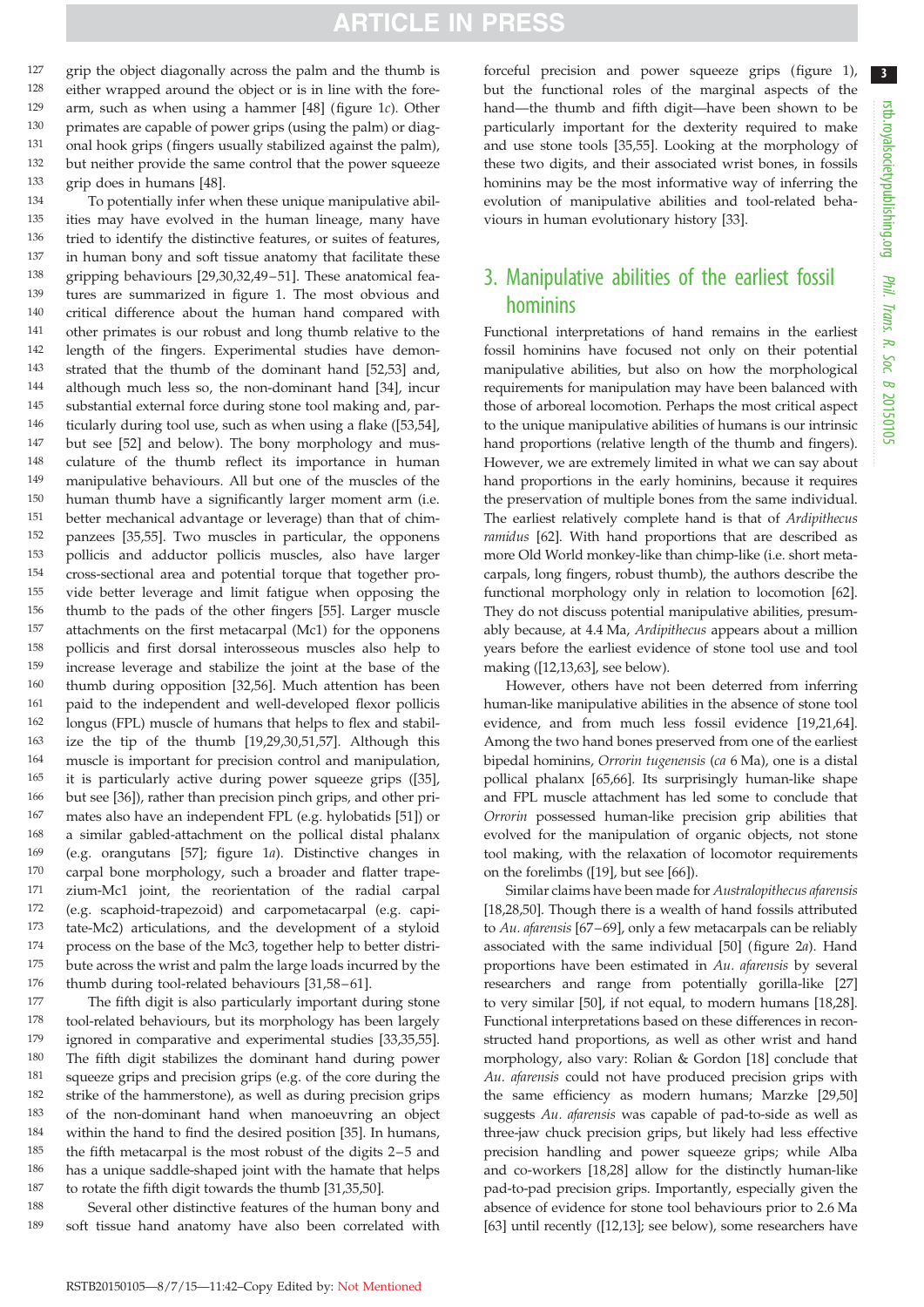<span id="page-4-0"></span>grip the object diagonally across the palm and the thumb is either wrapped around the object or is in line with the forearm, such as when using a hammer [\[48](#page-9-0)] [\(figure 1](#page-2-0)c). Other primates are capable of power grips (using the palm) or diagonal hook grips (fingers usually stabilized against the palm), but neither provide the same control that the power squeeze grip does in humans [\[48](#page-9-0)]. 127 128 129 130 131 132 133

To potentially infer when these unique manipulative abilities may have evolved in the human lineage, many have tried to identify the distinctive features, or suites of features, in human bony and soft tissue anatomy that facilitate these gripping behaviours [\[29,30](#page-8-0)[,32](#page-9-0),[49](#page-9-0)–[51](#page-9-0)]. These anatomical features are summarized in [figure 1](#page-2-0). The most obvious and critical difference about the human hand compared with other primates is our robust and long thumb relative to the length of the fingers. Experimental studies have demonstrated that the thumb of the dominant hand [[52,53\]](#page-9-0) and, although much less so, the non-dominant hand [[34\]](#page-9-0), incur substantial external force during stone tool making and, particularly during tool use, such as when using a flake ([\[53,54](#page-9-0)], but see [\[52](#page-9-0)] and below). The bony morphology and musculature of the thumb reflect its importance in human manipulative behaviours. All but one of the muscles of the human thumb have a significantly larger moment arm (i.e. better mechanical advantage or leverage) than that of chimpanzees [[35,55\]](#page-9-0). Two muscles in particular, the opponens pollicis and adductor pollicis muscles, also have larger cross-sectional area and potential torque that together provide better leverage and limit fatigue when opposing the thumb to the pads of the other fingers [\[55](#page-9-0)]. Larger muscle attachments on the first metacarpal (Mc1) for the opponens pollicis and first dorsal interosseous muscles also help to increase leverage and stabilize the joint at the base of the thumb during opposition [[32,56\]](#page-9-0). Much attention has been paid to the independent and well-developed flexor pollicis longus (FPL) muscle of humans that helps to flex and stabilize the tip of the thumb [[19,29,30](#page-8-0)[,51](#page-9-0),[57\]](#page-9-0). Although this muscle is important for precision control and manipulation, it is particularly active during power squeeze grips ([\[35](#page-9-0)], but see [[36\]](#page-9-0)), rather than precision pinch grips, and other primates also have an independent FPL (e.g. hylobatids [[51\]](#page-9-0)) or a similar gabled-attachment on the pollical distal phalanx (e.g. orangutans [\[57](#page-9-0)]; [figure 1](#page-2-0)a). Distinctive changes in carpal bone morphology, such a broader and flatter trapezium-Mc1 joint, the reorientation of the radial carpal (e.g. scaphoid-trapezoid) and carpometacarpal (e.g. capitate-Mc2) articulations, and the development of a styloid process on the base of the Mc3, together help to better distribute across the wrist and palm the large loads incurred by the thumb during tool-related behaviours [\[31](#page-8-0)[,58](#page-9-0)-61]. 134 135 136 137 138 139 140 141 142 143 144 145 146 147 148 149 150 151 152 153 154 155 156 157 158 159 160 161 162 163 164 165 166 167 168 169 170 171 172 173 174 175 176

The fifth digit is also particularly important during stone tool-related behaviours, but its morphology has been largely ignored in comparative and experimental studies [\[33,35,55](#page-9-0)]. The fifth digit stabilizes the dominant hand during power squeeze grips and precision grips (e.g. of the core during the strike of the hammerstone), as well as during precision grips of the non-dominant hand when manoeuvring an object within the hand to find the desired position [[35\]](#page-9-0). In humans, the fifth metacarpal is the most robust of the digits 2–5 and has a unique saddle-shaped joint with the hamate that helps to rotate the fifth digit towards the thumb [[31](#page-8-0),[35,50\]](#page-9-0). 177 178 179 180 181 182 183 184 185 186 187

Several other distinctive features of the human bony and soft tissue hand anatomy have also been correlated with 188 189

forceful precision and power squeeze grips [\(figure 1\)](#page-2-0), but the functional roles of the marginal aspects of the hand—the thumb and fifth digit—have been shown to be particularly important for the dexterity required to make and use stone tools [[35,55\]](#page-9-0). Looking at the morphology of these two digits, and their associated wrist bones, in fossils hominins may be the most informative way of inferring the evolution of manipulative abilities and tool-related behaviours in human evolutionary history [\[33](#page-9-0)].

## 3. Manipulative abilities of the earliest fossil hominins

Functional interpretations of hand remains in the earliest fossil hominins have focused not only on their potential manipulative abilities, but also on how the morphological requirements for manipulation may have been balanced with those of arboreal locomotion. Perhaps the most critical aspect to the unique manipulative abilities of humans is our intrinsic hand proportions (relative length of the thumb and fingers). However, we are extremely limited in what we can say about hand proportions in the early hominins, because it requires the preservation of multiple bones from the same individual. The earliest relatively complete hand is that of Ardipithecus ramidus [[62](#page-9-0)]. With hand proportions that are described as more Old World monkey-like than chimp-like (i.e. short metacarpals, long fingers, robust thumb), the authors describe the functional morphology only in relation to locomotion [[62\]](#page-9-0). They do not discuss potential manipulative abilities, presumably because, at 4.4 Ma, Ardipithecus appears about a million years before the earliest evidence of stone tool use and tool making ([[12,13,](#page-8-0)[63\]](#page-9-0), see below).

However, others have not been deterred from inferring human-like manipulative abilities in the absence of stone tool evidence, and from much less fossil evidence [[19](#page-8-0),[21,](#page-8-0)[64\]](#page-9-0). Among the two hand bones preserved from one of the earliest bipedal hominins, Orrorin tugenensis (ca 6 Ma), one is a distal pollical phalanx [\[65,66](#page-9-0)]. Its surprisingly human-like shape and FPL muscle attachment has led some to conclude that Orrorin possessed human-like precision grip abilities that evolved for the manipulation of organic objects, not stone tool making, with the relaxation of locomotor requirements on the forelimbs ([[19\]](#page-8-0), but see [\[66](#page-9-0)]).

Similar claims have been made for Australopithecus afarensis [[18,28,](#page-8-0)[50\]](#page-9-0). Though there is a wealth of hand fossils attributed to Au. afarensis [\[67](#page-9-0)–[69\]](#page-9-0), only a few metacarpals can be reliably associated with the same individual [\[50](#page-9-0)] (figure 2a). Hand proportions have been estimated in Au. afarensis by several researchers and range from potentially gorilla-like [[27\]](#page-8-0) to very similar [\[50](#page-9-0)], if not equal, to modern humans [[18,28\]](#page-8-0). Functional interpretations based on these differences in reconstructed hand proportions, as well as other wrist and hand morphology, also vary: Rolian & Gordon [[18\]](#page-8-0) conclude that Au. afarensis could not have produced precision grips with the same efficiency as modern humans; Marzke [[29,](#page-8-0)[50\]](#page-9-0) suggests Au. afarensis was capable of pad-to-side as well as three-jaw chuck precision grips, but likely had less effective precision handling and power squeeze grips; while Alba and co-workers [\[18,28](#page-8-0)] allow for the distinctly human-like pad-to-pad precision grips. Importantly, especially given the absence of evidence for stone tool behaviours prior to 2.6 Ma [[63\]](#page-9-0) until recently ([\[12,13](#page-8-0)]; see below), some researchers have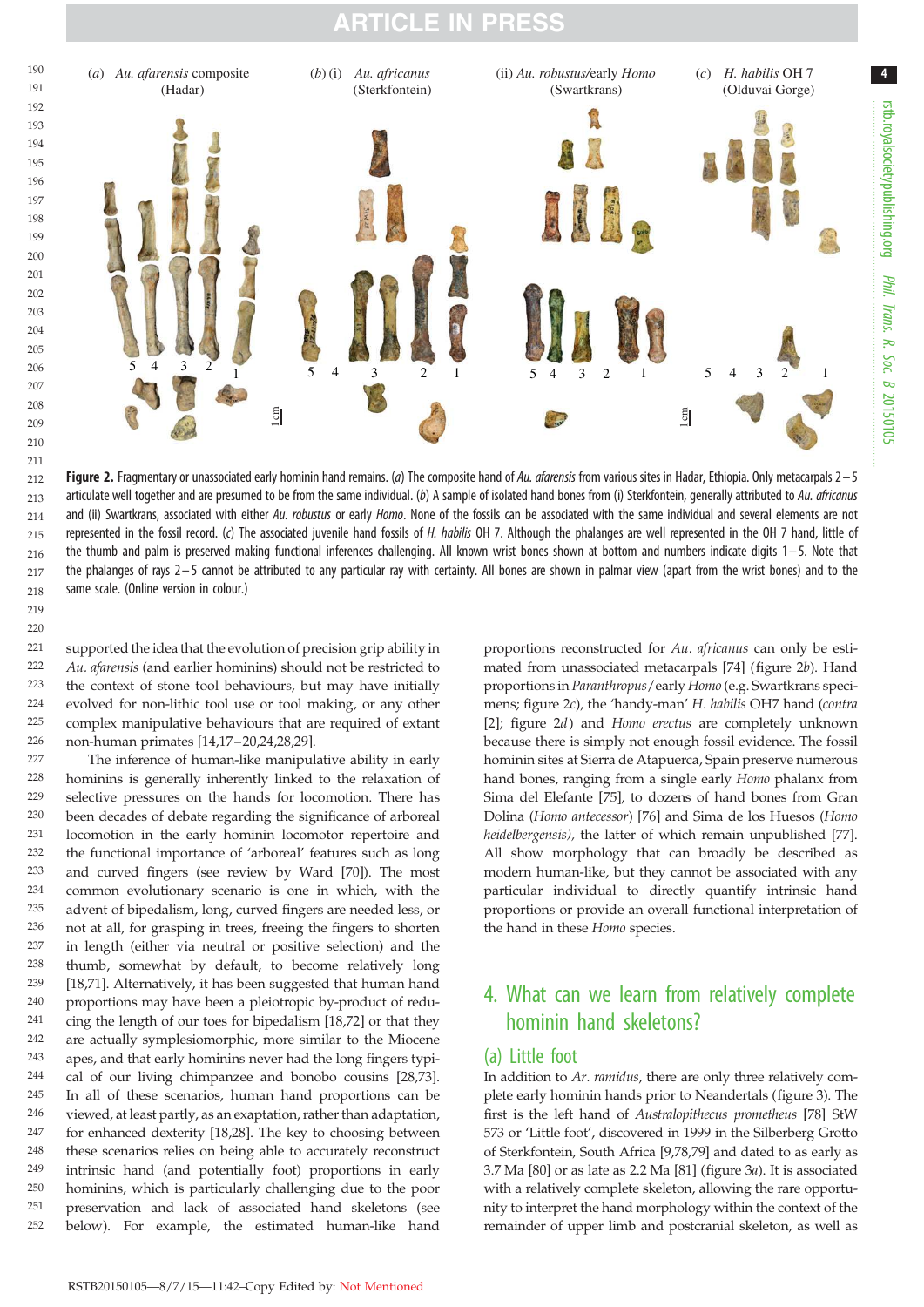<span id="page-5-0"></span>

Figure 2. Fragmentary or unassociated early hominin hand remains. (*a*) The composite hand of *Au. afarensis* from various sites in Hadar, Ethiopia. Only metacarpals 2– 5 articulate well together and are presumed to be from the same individual. (*b*) A sample of isolated hand bones from (i) Sterkfontein, generally attributed to *Au. africanus* and (ii) Swartkrans, associated with either *Au. robustus* or early *Homo*. None of the fossils can be associated with the same individual and several elements are not represented in the fossil record. (*c*) The associated juvenile hand fossils of *H. habilis* OH 7. Although the phalanges are well represented in the OH 7 hand, little of the thumb and palm is preserved making functional inferences challenging. All known wrist bones shown at bottom and numbers indicate digits 1–5. Note that the phalanges of rays  $2-5$  cannot be attributed to any particular ray with certainty. All bones are shown in palmar view (apart from the wrist bones) and to the same scale. (Online version in colour.) 212 213 214 215 216 217 218

supported the idea that the evolution of precision grip ability in Au. afarensis (and earlier hominins) should not be restricted to the context of stone tool behaviours, but may have initially evolved for non-lithic tool use or tool making, or any other complex manipulative behaviours that are required of extant non-human primates [\[14,17](#page-8-0)–[20,24](#page-8-0),[28](#page-8-0),[29\]](#page-8-0).  $221$  $222$ 223 224 225 226

219  $220$ 

The inference of human-like manipulative ability in early hominins is generally inherently linked to the relaxation of selective pressures on the hands for locomotion. There has been decades of debate regarding the significance of arboreal locomotion in the early hominin locomotor repertoire and the functional importance of 'arboreal' features such as long and curved fingers (see review by Ward [[70\]](#page-9-0)). The most common evolutionary scenario is one in which, with the advent of bipedalism, long, curved fingers are needed less, or not at all, for grasping in trees, freeing the fingers to shorten in length (either via neutral or positive selection) and the thumb, somewhat by default, to become relatively long [\[18](#page-8-0)[,71](#page-10-0)]. Alternatively, it has been suggested that human hand proportions may have been a pleiotropic by-product of reducing the length of our toes for bipedalism [\[18](#page-8-0)[,72](#page-10-0)] or that they are actually symplesiomorphic, more similar to the Miocene apes, and that early hominins never had the long fingers typical of our living chimpanzee and bonobo cousins [\[28](#page-8-0)[,73](#page-10-0)]. In all of these scenarios, human hand proportions can be viewed, at least partly, as an exaptation, rather than adaptation, for enhanced dexterity [\[18,28](#page-8-0)]. The key to choosing between these scenarios relies on being able to accurately reconstruct intrinsic hand (and potentially foot) proportions in early hominins, which is particularly challenging due to the poor preservation and lack of associated hand skeletons (see below). For example, the estimated human-like hand 227 228  $229$ 230 231 232 233 234 235 236 237 238 239 240 241 242 243 244 245 246 247 248 249 250 251 252

proportions reconstructed for Au. africanus can only be estimated from unassociated metacarpals [\[74](#page-10-0)] [\(figure 2](#page-4-0)b). Hand proportions in Paranthropus/early Homo (e.g. Swartkrans specimens; [figure 2](#page-4-0)c), the 'handy-man' H. habilis OH7 hand (contra [[2](#page-8-0)]; [figure 2](#page-4-0)*d*) and Homo erectus are completely unknown because there is simply not enough fossil evidence. The fossil hominin sites at Sierra de Atapuerca, Spain preserve numerous hand bones, ranging from a single early Homo phalanx from Sima del Elefante [[75\]](#page-10-0), to dozens of hand bones from Gran Dolina (Homo antecessor) [[76\]](#page-10-0) and Sima de los Huesos (Homo heidelbergensis), the latter of which remain unpublished [[77\]](#page-10-0). All show morphology that can broadly be described as modern human-like, but they cannot be associated with any particular individual to directly quantify intrinsic hand proportions or provide an overall functional interpretation of the hand in these Homo species.

rstb.royalsocietypublishing.org

rstb.royalsocietypublishing.org

4

*Phil. Trans. R. Soc. B* Phil. Trans. R. Soc. B 20150109

## 4. What can we learn from relatively complete hominin hand skeletons?

#### (a) Little foot

In addition to Ar. ramidus, there are only three relatively complete early hominin hands prior to Neandertals (figure 3). The first is the left hand of Australopithecus prometheus [[78](#page-10-0)] StW 573 or 'Little foot', discovered in 1999 in the Silberberg Grotto of Sterkfontein, South Africa [\[9,](#page-8-0)[78,79](#page-10-0)] and dated to as early as 3.7 Ma [\[80](#page-10-0)] or as late as 2.2 Ma [\[81](#page-10-0)] (figure 3a). It is associated with a relatively complete skeleton, allowing the rare opportunity to interpret the hand morphology within the context of the remainder of upper limb and postcranial skeleton, as well as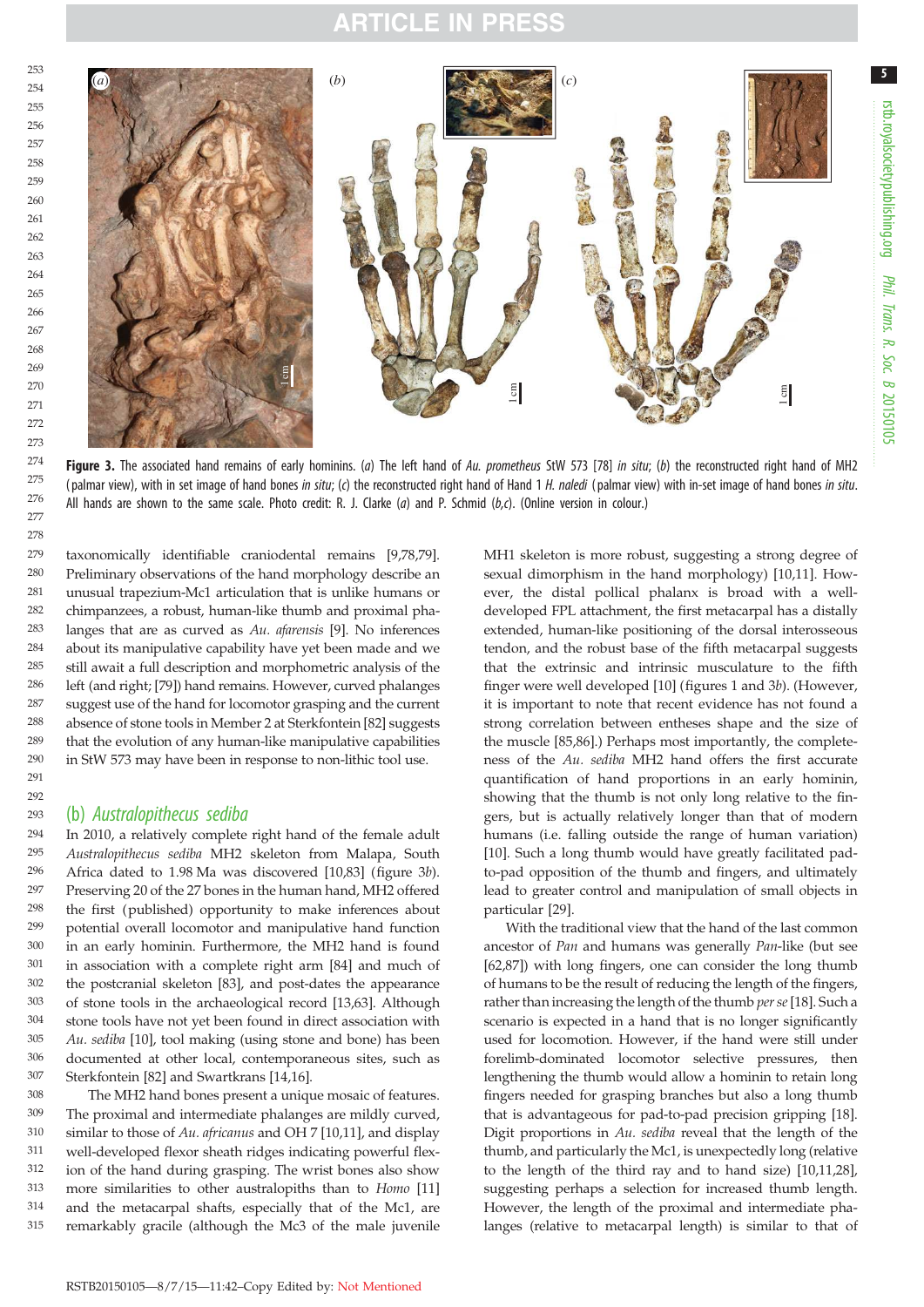

Figure 3. The associated hand remains of early hominins. (*a*) The left hand of *Au. prometheus* StW 573 [[78](#page-10-0)] *in situ*; (*b*) the reconstructed right hand of MH2 ( palmar view), with in set image of hand bones *in situ*; (*c*) the reconstructed right hand of Hand 1 *H. naledi* ( palmar view) with in-set image of hand bones *in situ*. All hands are shown to the same scale. Photo credit: R. J. Clarke (*a*) and P. Schmid (*b,c*). (Online version in colour.)

taxonomically identifiable craniodental remains [\[9](#page-8-0),[78](#page-10-0),[79](#page-10-0)]. Preliminary observations of the hand morphology describe an unusual trapezium-Mc1 articulation that is unlike humans or chimpanzees, a robust, human-like thumb and proximal phalanges that are as curved as Au. afarensis [\[9\]](#page-8-0). No inferences about its manipulative capability have yet been made and we still await a full description and morphometric analysis of the left (and right; [\[79](#page-10-0)]) hand remains. However, curved phalanges suggest use of the hand for locomotor grasping and the current absence of stone tools in Member 2 at Sterkfontein [\[82\]](#page-10-0) suggests that the evolution of any human-like manipulative capabilities in StW 573 may have been in response to non-lithic tool use. 279 280 281 282 283 284 285 286 287 288 289 290 291

#### (b) *Australopithecus sediba*

 $292$ 293

In 2010, a relatively complete right hand of the female adult Australopithecus sediba MH2 skeleton from Malapa, South Africa dated to 1.98 Ma was discovered [\[10](#page-8-0)[,83](#page-10-0)] [\(figure 3](#page-5-0)b). Preserving 20 of the 27 bones in the human hand, MH2 offered the first (published) opportunity to make inferences about potential overall locomotor and manipulative hand function in an early hominin. Furthermore, the MH2 hand is found in association with a complete right arm [\[84](#page-10-0)] and much of the postcranial skeleton [\[83](#page-10-0)], and post-dates the appearance of stone tools in the archaeological record [\[13](#page-8-0)[,63](#page-9-0)]. Although stone tools have not yet been found in direct association with Au. sediba [[10\]](#page-8-0), tool making (using stone and bone) has been documented at other local, contemporaneous sites, such as Sterkfontein [\[82](#page-10-0)] and Swartkrans [\[14](#page-8-0),[16](#page-8-0)]. 294 295 296 297 298 299 300 301 302 303 304 305 306 307

The MH2 hand bones present a unique mosaic of features. The proximal and intermediate phalanges are mildly curved, similar to those of Au. africanus and OH 7 [[10,11\]](#page-8-0), and display well-developed flexor sheath ridges indicating powerful flexion of the hand during grasping. The wrist bones also show more similarities to other australopiths than to Homo [[11\]](#page-8-0) and the metacarpal shafts, especially that of the Mc1, are remarkably gracile (although the Mc3 of the male juvenile 308 309 310 311 312 313 314 315

MH1 skeleton is more robust, suggesting a strong degree of sexual dimorphism in the hand morphology) [\[10](#page-8-0),[11\]](#page-8-0). However, the distal pollical phalanx is broad with a welldeveloped FPL attachment, the first metacarpal has a distally extended, human-like positioning of the dorsal interosseous tendon, and the robust base of the fifth metacarpal suggests that the extrinsic and intrinsic musculature to the fifth finger were well developed [[10\]](#page-8-0) (figures [1](#page-2-0) and [3](#page-5-0)b). (However, it is important to note that recent evidence has not found a strong correlation between entheses shape and the size of the muscle [\[85,86](#page-10-0)].) Perhaps most importantly, the completeness of the Au. sediba MH2 hand offers the first accurate quantification of hand proportions in an early hominin, showing that the thumb is not only long relative to the fingers, but is actually relatively longer than that of modern humans (i.e. falling outside the range of human variation) [[10\]](#page-8-0). Such a long thumb would have greatly facilitated padto-pad opposition of the thumb and fingers, and ultimately lead to greater control and manipulation of small objects in particular [\[29](#page-8-0)].

With the traditional view that the hand of the last common ancestor of Pan and humans was generally Pan-like (but see [[62,](#page-9-0)[87\]](#page-10-0)) with long fingers, one can consider the long thumb of humans to be the result of reducing the length of the fingers, rather than increasing the length of the thumb per se [\[18](#page-8-0)]. Such a scenario is expected in a hand that is no longer significantly used for locomotion. However, if the hand were still under forelimb-dominated locomotor selective pressures, then lengthening the thumb would allow a hominin to retain long fingers needed for grasping branches but also a long thumb that is advantageous for pad-to-pad precision gripping [[18\]](#page-8-0). Digit proportions in Au. sediba reveal that the length of the thumb, and particularly the Mc1, is unexpectedly long (relative to the length of the third ray and to hand size) [[10](#page-8-0),[11,28\]](#page-8-0), suggesting perhaps a selection for increased thumb length. However, the length of the proximal and intermediate phalanges (relative to metacarpal length) is similar to that of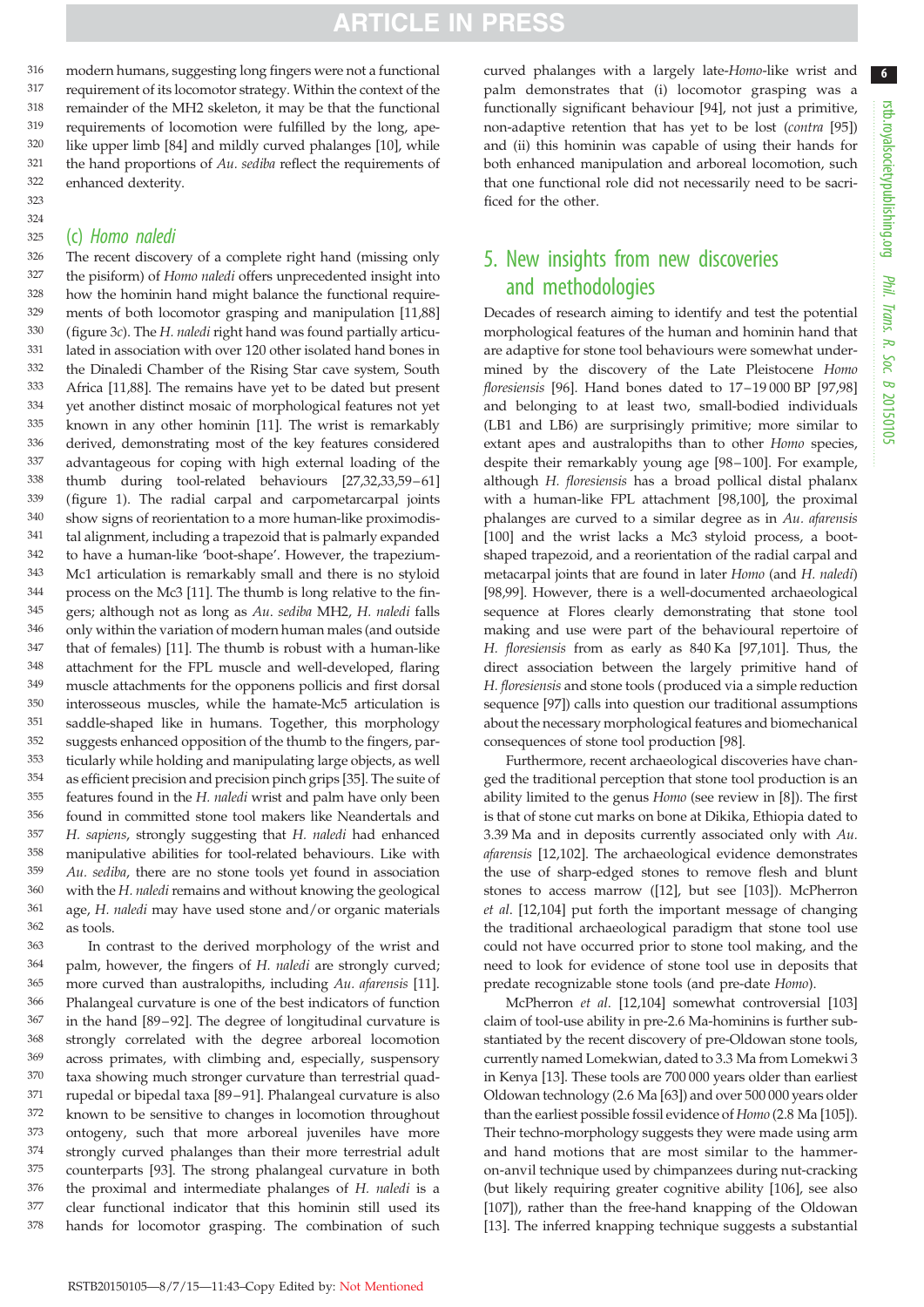modern humans, suggesting long fingers were not a functional requirement of its locomotor strategy. Within the context of the remainder of the MH2 skeleton, it may be that the functional requirements of locomotion were fulfilled by the long, apelike upper limb [[84\]](#page-10-0) and mildly curved phalanges [[10\]](#page-8-0), while the hand proportions of Au. sediba reflect the requirements of enhanced dexterity. 316 317 318 319 320 321 322

#### (c) *Homo naledi* 325

323 324

The recent discovery of a complete right hand (missing only the pisiform) of Homo naledi offers unprecedented insight into how the hominin hand might balance the functional requirements of both locomotor grasping and manipulation [[11](#page-8-0),[88\]](#page-10-0) [\(figure 3](#page-5-0)c). The H. naledi right hand was found partially articulated in association with over 120 other isolated hand bones in the Dinaledi Chamber of the Rising Star cave system, South Africa [[11,](#page-8-0)[88\]](#page-10-0). The remains have yet to be dated but present yet another distinct mosaic of morphological features not yet known in any other hominin [\[11](#page-8-0)]. The wrist is remarkably derived, demonstrating most of the key features considered advantageous for coping with high external loading of the thumb during tool-related behaviours [\[27](#page-8-0)[,32,33,59](#page-9-0)–[61\]](#page-9-0) [\(figure 1](#page-2-0)). The radial carpal and carpometarcarpal joints show signs of reorientation to a more human-like proximodistal alignment, including a trapezoid that is palmarly expanded to have a human-like 'boot-shape'. However, the trapezium-Mc1 articulation is remarkably small and there is no styloid process on the Mc3 [\[11](#page-8-0)]. The thumb is long relative to the fingers; although not as long as Au. sediba MH2, H. naledi falls only within the variation of modern human males (and outside that of females) [[11\]](#page-8-0). The thumb is robust with a human-like attachment for the FPL muscle and well-developed, flaring muscle attachments for the opponens pollicis and first dorsal interosseous muscles, while the hamate-Mc5 articulation is saddle-shaped like in humans. Together, this morphology suggests enhanced opposition of the thumb to the fingers, particularly while holding and manipulating large objects, as well as efficient precision and precision pinch grips [\[35](#page-9-0)]. The suite of features found in the H. naledi wrist and palm have only been found in committed stone tool makers like Neandertals and H. sapiens, strongly suggesting that H. naledi had enhanced manipulative abilities for tool-related behaviours. Like with Au. sediba, there are no stone tools yet found in association with the H. naledi remains and without knowing the geological age, H. naledi may have used stone and/or organic materials as tools. 326 327 328 329 330 331 332 333 334 335 336 337 338 339 340 341 342 343 344 345 346 347 348 349 350 351 352 353 354 355 356 357 358 359 360 361 362

In contrast to the derived morphology of the wrist and palm, however, the fingers of H. naledi are strongly curved; more curved than australopiths, including Au. afarensis [\[11](#page-8-0)]. Phalangeal curvature is one of the best indicators of function in the hand [[89](#page-10-0)–[92\]](#page-10-0). The degree of longitudinal curvature is strongly correlated with the degree arboreal locomotion across primates, with climbing and, especially, suspensory taxa showing much stronger curvature than terrestrial quadrupedal or bipedal taxa [[89](#page-10-0) –[91](#page-10-0)]. Phalangeal curvature is also known to be sensitive to changes in locomotion throughout ontogeny, such that more arboreal juveniles have more strongly curved phalanges than their more terrestrial adult counterparts [\[93](#page-10-0)]. The strong phalangeal curvature in both the proximal and intermediate phalanges of H. naledi is a clear functional indicator that this hominin still used its hands for locomotor grasping. The combination of such 363 364 365 366 367 368 369 370 371 372 373 374 375 376 377 378

curved phalanges with a largely late-Homo-like wrist and palm demonstrates that (i) locomotor grasping was a functionally significant behaviour [[94\]](#page-10-0), not just a primitive, non-adaptive retention that has yet to be lost (contra [[95\]](#page-10-0)) and (ii) this hominin was capable of using their hands for both enhanced manipulation and arboreal locomotion, such that one functional role did not necessarily need to be sacrificed for the other.

## 5. New insights from new discoveries and methodologies

Decades of research aiming to identify and test the potential morphological features of the human and hominin hand that are adaptive for stone tool behaviours were somewhat undermined by the discovery of the Late Pleistocene Homo floresiensis [\[96](#page-10-0)]. Hand bones dated to  $17-19000$  BP [97.98] and belonging to at least two, small-bodied individuals (LB1 and LB6) are surprisingly primitive; more similar to extant apes and australopiths than to other Homo species, despite their remarkably young age [\[98](#page-10-0)–[100](#page-10-0)]. For example, although H. floresiensis has a broad pollical distal phalanx with a human-like FPL attachment [[98,100](#page-10-0)], the proximal phalanges are curved to a similar degree as in Au. afarensis [[100](#page-10-0)] and the wrist lacks a Mc3 styloid process, a bootshaped trapezoid, and a reorientation of the radial carpal and metacarpal joints that are found in later Homo (and H. naledi) [[98,99\]](#page-10-0). However, there is a well-documented archaeological sequence at Flores clearly demonstrating that stone tool making and use were part of the behavioural repertoire of H. floresiensis from as early as 840 Ka [\[97,101\]](#page-10-0). Thus, the direct association between the largely primitive hand of H. floresiensis and stone tools (produced via a simple reduction sequence [[97\]](#page-10-0)) calls into question our traditional assumptions about the necessary morphological features and biomechanical consequences of stone tool production [[98](#page-10-0)].

Furthermore, recent archaeological discoveries have changed the traditional perception that stone tool production is an ability limited to the genus Homo (see review in [[8](#page-8-0)]). The first is that of stone cut marks on bone at Dikika, Ethiopia dated to 3.39 Ma and in deposits currently associated only with Au. afarensis [[12,](#page-8-0)[102](#page-10-0)]. The archaeological evidence demonstrates the use of sharp-edged stones to remove flesh and blunt stones to access marrow ([[12\]](#page-8-0), but see [\[103\]](#page-10-0)). McPherron et al. [\[12](#page-8-0)[,104\]](#page-10-0) put forth the important message of changing the traditional archaeological paradigm that stone tool use could not have occurred prior to stone tool making, and the need to look for evidence of stone tool use in deposits that predate recognizable stone tools (and pre-date Homo).

McPherron et al. [[12,](#page-8-0)[104](#page-10-0)] somewhat controversial [\[103\]](#page-10-0) claim of tool-use ability in pre-2.6 Ma-hominins is further substantiated by the recent discovery of pre-Oldowan stone tools, currently named Lomekwian, dated to 3.3 Ma from Lomekwi 3 in Kenya [\[13\]](#page-8-0). These tools are 700 000 years older than earliest Oldowan technology (2.6 Ma [\[63](#page-9-0)]) and over 500 000 years older than the earliest possible fossil evidence of Homo (2.8 Ma [\[105\]](#page-10-0)). Their techno-morphology suggests they were made using arm and hand motions that are most similar to the hammeron-anvil technique used by chimpanzees during nut-cracking (but likely requiring greater cognitive ability [[106](#page-10-0)], see also [[107](#page-10-0)]), rather than the free-hand knapping of the Oldowan [[13\]](#page-8-0). The inferred knapping technique suggests a substantial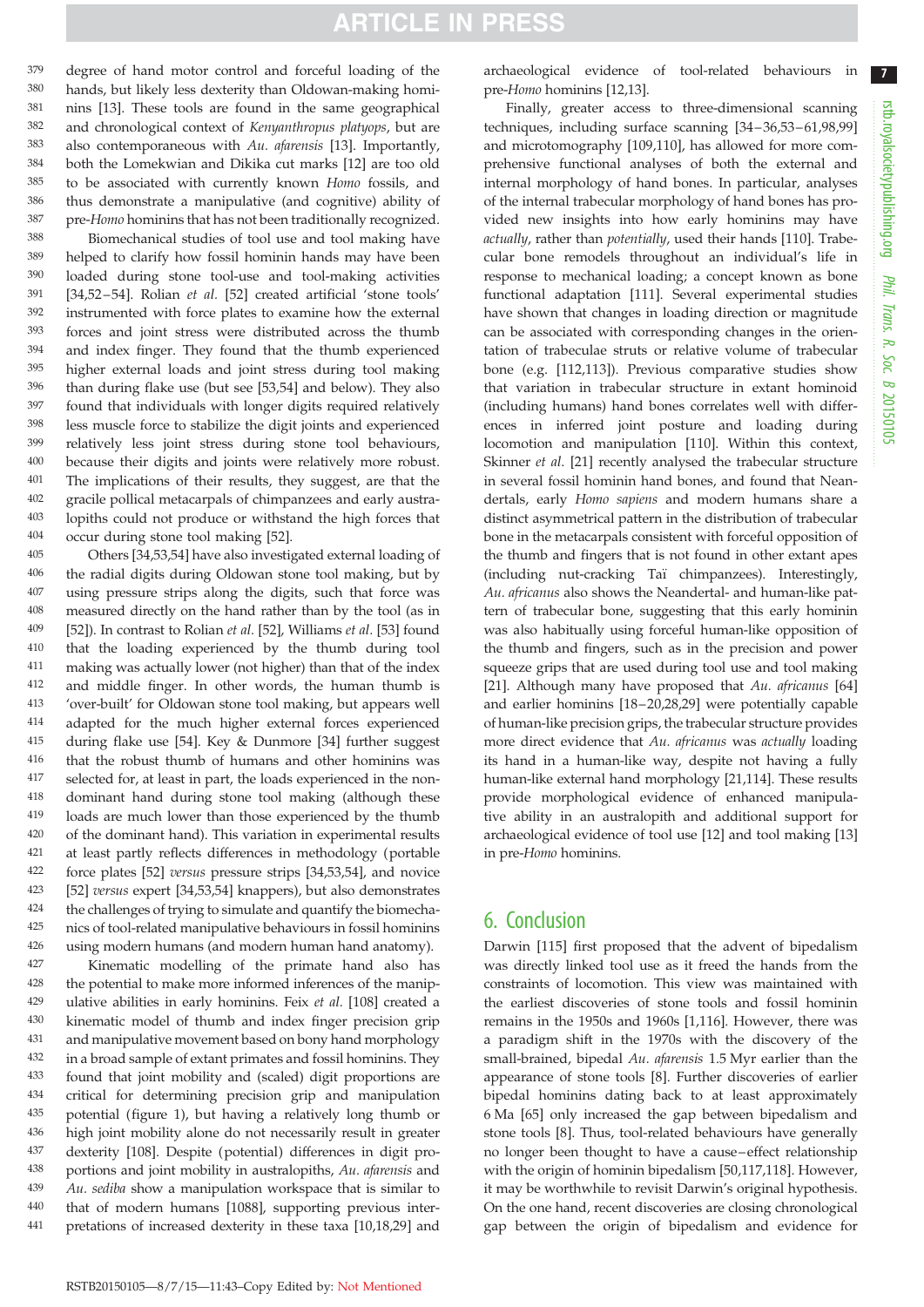<span id="page-8-0"></span>degree of hand motor control and forceful loading of the hands, but likely less dexterity than Oldowan-making hominins [13]. These tools are found in the same geographical and chronological context of Kenyanthropus platyops, but are also contemporaneous with Au. afarensis [13]. Importantly, both the Lomekwian and Dikika cut marks [12] are too old to be associated with currently known Homo fossils, and thus demonstrate a manipulative (and cognitive) ability of pre-Homo hominins that has not been traditionally recognized. 379 380 381 382 383 384 385 386 387

Biomechanical studies of tool use and tool making have helped to clarify how fossil hominin hands may have been loaded during stone tool-use and tool-making activities [\[34](#page-9-0),[52](#page-9-0)-[54\]](#page-9-0). Rolian et al. [[52\]](#page-9-0) created artificial 'stone tools' instrumented with force plates to examine how the external forces and joint stress were distributed across the thumb and index finger. They found that the thumb experienced higher external loads and joint stress during tool making than during flake use (but see [[53,54](#page-9-0)] and below). They also found that individuals with longer digits required relatively less muscle force to stabilize the digit joints and experienced relatively less joint stress during stone tool behaviours, because their digits and joints were relatively more robust. The implications of their results, they suggest, are that the gracile pollical metacarpals of chimpanzees and early australopiths could not produce or withstand the high forces that occur during stone tool making [[52\]](#page-9-0). 388 389 390 391 392 393 394 395 396 397 398 399 400 401 402 403 404

Others [[34,53,54](#page-9-0)] have also investigated external loading of the radial digits during Oldowan stone tool making, but by using pressure strips along the digits, such that force was measured directly on the hand rather than by the tool (as in [\[52](#page-9-0)]). In contrast to Rolian et al. [52], Williams et al. [[53\]](#page-9-0) found that the loading experienced by the thumb during tool making was actually lower (not higher) than that of the index and middle finger. In other words, the human thumb is 'over-built' for Oldowan stone tool making, but appears well adapted for the much higher external forces experienced during flake use [\[54](#page-9-0)]. Key & Dunmore [\[34](#page-9-0)] further suggest that the robust thumb of humans and other hominins was selected for, at least in part, the loads experienced in the nondominant hand during stone tool making (although these loads are much lower than those experienced by the thumb of the dominant hand). This variation in experimental results at least partly reflects differences in methodology (portable force plates [\[52](#page-9-0)] versus pressure strips [[34,53,54](#page-9-0)], and novice [\[52](#page-9-0)] versus expert [\[34,53,54](#page-9-0)] knappers), but also demonstrates the challenges of trying to simulate and quantify the biomechanics of tool-related manipulative behaviours in fossil hominins using modern humans (and modern human hand anatomy). 405 406 407 408 409 410 411 412 413 414 415 416 417 418 419 420 421 422 423 424 425 426

Kinematic modelling of the primate hand also has the potential to make more informed inferences of the manipulative abilities in early hominins. Feix et al. [[108\]](#page-10-0) created a kinematic model of thumb and index finger precision grip and manipulative movement based on bony hand morphology in a broad sample of extant primates and fossil hominins. They found that joint mobility and (scaled) digit proportions are critical for determining precision grip and manipulation potential [\(figure 1\)](#page-2-0), but having a relatively long thumb or high joint mobility alone do not necessarily result in greater dexterity [\[108\]](#page-10-0). Despite (potential) differences in digit proportions and joint mobility in australopiths, Au. afarensis and Au. sediba show a manipulation workspace that is similar to that of modern humans [1088], supporting previous interpretations of increased dexterity in these taxa [10,18,29] and 427 428 429 430 431 432 433 434 435 436 437 438 439 440 441

archaeological evidence of tool-related behaviours in pre-Homo hominins [12,13].

Finally, greater access to three-dimensional scanning techniques, including surface scanning [[34](#page-9-0)-36,53-61,[98,99\]](#page-10-0) and microtomography [\[109,110](#page-10-0)], has allowed for more comprehensive functional analyses of both the external and internal morphology of hand bones. In particular, analyses of the internal trabecular morphology of hand bones has provided new insights into how early hominins may have actually, rather than potentially, used their hands [\[110\]](#page-10-0). Trabecular bone remodels throughout an individual's life in response to mechanical loading; a concept known as bone functional adaptation [[111](#page-10-0)]. Several experimental studies have shown that changes in loading direction or magnitude can be associated with corresponding changes in the orientation of trabeculae struts or relative volume of trabecular bone (e.g. [[112](#page-10-0)[,113\]](#page-11-0)). Previous comparative studies show that variation in trabecular structure in extant hominoid (including humans) hand bones correlates well with differences in inferred joint posture and loading during locomotion and manipulation [[110](#page-10-0)]. Within this context, Skinner *et al.* [21] recently analysed the trabecular structure in several fossil hominin hand bones, and found that Neandertals, early Homo sapiens and modern humans share a distinct asymmetrical pattern in the distribution of trabecular bone in the metacarpals consistent with forceful opposition of the thumb and fingers that is not found in other extant apes (including nut-cracking Taï chimpanzees). Interestingly, Au. africanus also shows the Neandertal- and human-like pattern of trabecular bone, suggesting that this early hominin was also habitually using forceful human-like opposition of the thumb and fingers, such as in the precision and power squeeze grips that are used during tool use and tool making [21]. Although many have proposed that Au. africanus [[64\]](#page-9-0) and earlier hominins [18–20,28,29] were potentially capable of human-like precision grips, the trabecular structure provides more direct evidence that Au. africanus was actually loading its hand in a human-like way, despite not having a fully human-like external hand morphology [21,[114](#page-11-0)]. These results provide morphological evidence of enhanced manipulative ability in an australopith and additional support for archaeological evidence of tool use [12] and tool making [13] in pre-Homo hominins.

## 6. Conclusion

Darwin [[115](#page-11-0)] first proposed that the advent of bipedalism was directly linked tool use as it freed the hands from the constraints of locomotion. This view was maintained with the earliest discoveries of stone tools and fossil hominin remains in the 1950s and 1960s [1,[116](#page-11-0)]. However, there was a paradigm shift in the 1970s with the discovery of the small-brained, bipedal Au. afarensis 1.5 Myr earlier than the appearance of stone tools [8]. Further discoveries of earlier bipedal hominins dating back to at least approximately 6 Ma [[65\]](#page-9-0) only increased the gap between bipedalism and stone tools [8]. Thus, tool-related behaviours have generally no longer been thought to have a cause –effect relationship with the origin of hominin bipedalism [[50,](#page-9-0)[117](#page-11-0),[118](#page-11-0)]. However, it may be worthwhile to revisit Darwin's original hypothesis. On the one hand, recent discoveries are closing chronological gap between the origin of bipedalism and evidence for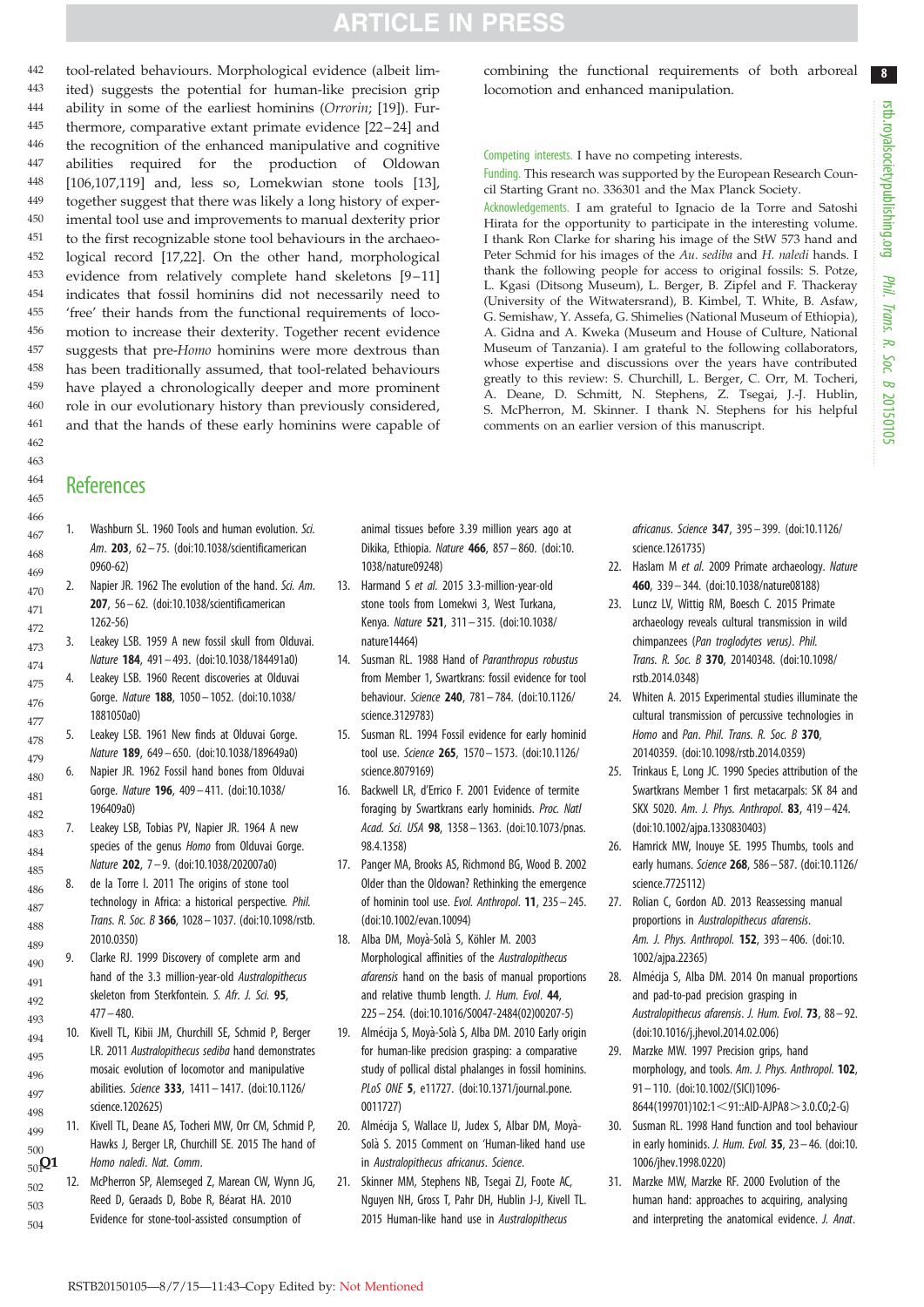<span id="page-9-0"></span>tool-related behaviours. Morphological evidence (albeit limited) suggests the potential for human-like precision grip ability in some of the earliest hominins (Orrorin; [\[19](#page-8-0)]). Fur-thermore, comparative extant primate evidence [[22](#page-8-0)-[24](#page-8-0)] and the recognition of the enhanced manipulative and cognitive abilities required for the production of Oldowan [\[106,107,](#page-10-0)[119](#page-11-0)] and, less so, Lomekwian stone tools [\[13](#page-8-0)], together suggest that there was likely a long history of experimental tool use and improvements to manual dexterity prior to the first recognizable stone tool behaviours in the archaeological record [[17,22](#page-8-0)]. On the other hand, morphological evidence from relatively complete hand skeletons [[9](#page-8-0)–[11\]](#page-8-0) indicates that fossil hominins did not necessarily need to 'free' their hands from the functional requirements of locomotion to increase their dexterity. Together recent evidence suggests that pre-Homo hominins were more dextrous than has been traditionally assumed, that tool-related behaviours have played a chronologically deeper and more prominent role in our evolutionary history than previously considered, and that the hands of these early hominins were capable of 442 443 444 445 446 447 448 449 450 451 452 453 454 455 456 457 458 459 460 461

#### combining the functional requirements of both arboreal locomotion and enhanced manipulation.

#### Competing interests. I have no competing interests.

Funding. This research was supported by the European Research Council Starting Grant no. 336301 and the Max Planck Society.

Acknowledgements. I am grateful to Ignacio de la Torre and Satoshi Hirata for the opportunity to participate in the interesting volume. I thank Ron Clarke for sharing his image of the StW 573 hand and Peter Schmid for his images of the Au. sediba and H. naledi hands. I thank the following people for access to original fossils: S. Potze, L. Kgasi (Ditsong Museum), L. Berger, B. Zipfel and F. Thackeray (University of the Witwatersrand), B. Kimbel, T. White, B. Asfaw, G. Semishaw, Y. Assefa, G. Shimelies (National Museum of Ethiopia), A. Gidna and A. Kweka (Museum and House of Culture, National Museum of Tanzania). I am grateful to the following collaborators, whose expertise and discussions over the years have contributed greatly to this review: S. Churchill, L. Berger, C. Orr, M. Tocheri, A. Deane, D. Schmitt, N. Stephens, Z. Tsegai, J.-J. Hublin, S. McPherron, M. Skinner. I thank N. Stephens for his helpful comments on an earlier version of this manuscript.

### **References**

1. Washburn SL. 1960 Tools and human evolution. *Sci. Am*. 203, 62 – 75. [\(doi:10.1038/scientificamerican](http://dx.doi.org/10.1038/scientificamerican0960-62) [0960-62\)](http://dx.doi.org/10.1038/scientificamerican0960-62) 2. Napier JR. 1962 The evolution of the hand. *Sci. Am*. 207, 56 – 62. ([doi:10.1038/scientificamerican](http://dx.doi.org/10.1038/scientificamerican1262-56) [1262-56\)](http://dx.doi.org/10.1038/scientificamerican1262-56) 3. Leakey LSB. 1959 A new fossil skull from Olduvai. *Nature* 184, 491 – 493. [\(doi:10.1038/184491a0\)](http://dx.doi.org/10.1038/184491a0) 4. Leakey LSB. 1960 Recent discoveries at Olduvai Gorge. *Nature* 188, 1050– 1052. ([doi:10.1038/](http://dx.doi.org/10.1038/1881050a0) [1881050a0](http://dx.doi.org/10.1038/1881050a0)) 5. Leakey LSB. 1961 New finds at Olduvai Gorge. *Nature* 189, 649 – 650. [\(doi:10.1038/189649a0\)](http://dx.doi.org/10.1038/189649a0) 6. Napier JR. 1962 Fossil hand bones from Olduvai Gorge. *Nature* 196, 409 – 411. [\(doi:10.1038/](http://dx.doi.org/10.1038/196409a0) [196409a0\)](http://dx.doi.org/10.1038/196409a0) 7. Leakey LSB, Tobias PV, Napier JR. 1964 A new species of the genus *Homo* from Olduvai Gorge. *Nature* 202, 7 – 9. ([doi:10.1038/202007a0](http://dx.doi.org/10.1038/202007a0)) 8. de la Torre I. 2011 The origins of stone tool technology in Africa: a historical perspective*. Phil. Trans. R. Soc. B* 366, 1028– 1037. ([doi:10.1098/rstb.](http://dx.doi.org/10.1098/rstb.2010.0350) [2010.0350\)](http://dx.doi.org/10.1098/rstb.2010.0350) 9. Clarke RJ. 1999 Discovery of complete arm and hand of the 3.3 million-year-old *Australopithecus* skeleton from Sterkfontein. *S. Afr. J. Sci.* 95,  $477 - 480$ 10. Kivell TL, Kibii JM, Churchill SE, Schmid P, Berger LR. 2011 *Australopithecus sediba* hand demonstrates mosaic evolution of locomotor and manipulative abilities. *Science* 333, 1411– 1417. [\(doi:10.1126/](http://dx.doi.org/10.1126/science.1202625) [science.1202625\)](http://dx.doi.org/10.1126/science.1202625) 11. Kivell TL, Deane AS, Tocheri MW, Orr CM, Schmid P, Hawks J, Berger LR, Churchill SE. 2015 The hand of Q1 *Homo naledi*. *Nat. Comm*. 12. McPherron SP, Alemseged Z, Marean CW, Wynn JG, Reed D, Geraads D, Bobe R, Béarat HA. 2010 Evidence for stone-tool-assisted consumption of 466 467 468 469 470 471 472 473 474 475 476 477 478 479 480 481 482 483 484 485 486 487 488 489 490 491 492 493 494 495 496 497 498 499 500 50<sub>1</sub>Q1 502 503 504

animal tissues before 3.39 million years ago at Dikika, Ethiopia. *Nature* 466, 857 – 860. [\(doi:10.](http://dx.doi.org/10.1038/nature09248) [1038/nature09248](http://dx.doi.org/10.1038/nature09248))

- 13. Harmand S *et al.* 2015 3.3-million-year-old stone tools from Lomekwi 3, West Turkana, Kenya. *Nature* 521, 311– 315. [\(doi:10.1038/](http://dx.doi.org/10.1038/nature14464) [nature14464](http://dx.doi.org/10.1038/nature14464))
- 14. Susman RL. 1988 Hand of *Paranthropus robustus* from Member 1, Swartkrans: fossil evidence for tool behaviour. *Science* 240, 781 – 784. [\(doi:10.1126/](http://dx.doi.org/10.1126/science.3129783) [science.3129783\)](http://dx.doi.org/10.1126/science.3129783)
- 15. Susman RL. 1994 Fossil evidence for early hominid tool use. *Science* 265, 1570– 1573. ([doi:10.1126/](http://dx.doi.org/10.1126/science.8079169) [science.8079169\)](http://dx.doi.org/10.1126/science.8079169)
- 16. Backwell LR, d'Errico F. 2001 Evidence of termite foraging by Swartkrans early hominids. *Proc. Natl Acad. Sci. USA* 98, 1358– 1363. [\(doi:10.1073/pnas.](http://dx.doi.org/10.1073/pnas.98.4.1358) [98.4.1358\)](http://dx.doi.org/10.1073/pnas.98.4.1358)
- 17. Panger MA, Brooks AS, Richmond BG, Wood B. 2002 Older than the Oldowan? Rethinking the emergence of hominin tool use. *Evol. Anthropol*. 11, 235– 245. [\(doi:10.1002/evan.10094](http://dx.doi.org/10.1002/evan.10094))
- 18. Alba DM, Moyà-Solà S, Köhler M. 2003 Morphological affinities of the *Australopithecus afarensis* hand on the basis of manual proportions and relative thumb length. *J. Hum. Evol*. 44, 225 – 254. [\(doi:10.1016/S0047-2484\(02\)00207-5](http://dx.doi.org/10.1016/S0047-2484(02)00207-5))
- 19. Almécija S, Moyà-Solà S, Alba DM. 2010 Early origin for human-like precision grasping: a comparative study of pollical distal phalanges in fossil hominins. *PLoS ONE* 5, e11727. ([doi:10.1371/journal.pone.](http://dx.doi.org/10.1371/journal.pone.0011727) [0011727\)](http://dx.doi.org/10.1371/journal.pone.0011727)
- 20. Almécija S, Wallace IJ, Judex S, Albar DM, Moyà-Solà S. 2015 Comment on 'Human-liked hand use in *Australopithecus africanus*. *Science*.
- 21. Skinner MM, Stephens NB, Tsegai ZJ, Foote AC, Nguyen NH, Gross T, Pahr DH, Hublin J-J, Kivell TL. 2015 Human-like hand use in *Australopithecus*

*africanus*. *Science* 347, 395– 399. [\(doi:10.1126/](http://dx.doi.org/10.1126/science.1261735) [science.1261735](http://dx.doi.org/10.1126/science.1261735))

- 22. Haslam M *et al.* 2009 Primate archaeology. *Nature* 460, 339– 344. [\(doi:10.1038/nature08188](http://dx.doi.org/10.1038/nature08188))
- 23. Luncz LV, Wittig RM, Boesch C. 2015 Primate archaeology reveals cultural transmission in wild chimpanzees (*Pan troglodytes verus)*. *Phil. Trans. R. Soc. B* 370, 20140348. ([doi:10.1098/](http://dx.doi.org/10.1098/rstb.2014.0348) [rstb.2014.0348](http://dx.doi.org/10.1098/rstb.2014.0348))
- 24. Whiten A. 2015 Experimental studies illuminate the cultural transmission of percussive technologies in *Homo* and *Pan*. *Phil. Trans. R. Soc. B* 370, 20140359. ([doi:10.1098/rstb.2014.0359\)](http://dx.doi.org/10.1098/rstb.2014.0359)
- 25. Trinkaus E, Long JC. 1990 Species attribution of the Swartkrans Member 1 first metacarpals: SK 84 and SKX 5020. *Am. J. Phys. Anthropol*. 83, 419 – 424. ([doi:10.1002/ajpa.1330830403\)](http://dx.doi.org/10.1002/ajpa.1330830403)
- 26. Hamrick MW, Inouye SE. 1995 Thumbs, tools and early humans. *Science* 268, 586– 587. [\(doi:10.1126/](http://dx.doi.org/10.1126/science.7725112) [science.7725112](http://dx.doi.org/10.1126/science.7725112))
- 27. Rolian C, Gordon AD. 2013 Reassessing manual proportions in *Australopithecus afarensis*. *Am. J. Phys. Anthropol.* 152, 393– 406. ([doi:10.](http://dx.doi.org/10.1002/ajpa.22365) [1002/ajpa.22365\)](http://dx.doi.org/10.1002/ajpa.22365)
- 28. Almécija S, Alba DM. 2014 On manual proportions and pad-to-pad precision grasping in *Australopithecus afarensis*. *J. Hum. Evol*. 73, 88 – 92. ([doi:10.1016/j.jhevol.2014.02.006\)](http://dx.doi.org/10.1016/j.jhevol.2014.02.006)
- 29. Marzke MW. 1997 Precision grips, hand morphology, and tools. *Am. J. Phys. Anthropol.* 102, 91– 110. ([doi:10.1002/\(SICI\)1096-](http://dx.doi.org/10.1002/(SICI)1096-8644(199701)102:1%3C91::AID-AJPA8%3E3.0.CO;2-G) [8644\(199701\)102:1](http://dx.doi.org/10.1002/(SICI)1096-8644(199701)102:1%3C91::AID-AJPA8%3E3.0.CO;2-G) < 91::AID-AJPA8 > 3[.](http://dx.doi.org/10.1002/(SICI)1096-8644(199701)102:1%3C91::AID-AJPA8%3E3.0.CO;2-G)0.CO;2-G)
- 30. Susman RL. 1998 Hand function and tool behaviour in early hominids. *J. Hum. Evol.* 35, 23 – 46. [\(doi:10.](http://dx.doi.org/10.1006/jhev.1998.0220) [1006/jhev.1998.0220\)](http://dx.doi.org/10.1006/jhev.1998.0220)
- 31. Marzke MW, Marzke RF. 2000 Evolution of the human hand: approaches to acquiring, analysing and interpreting the anatomical evidence. *J. Anat*.

8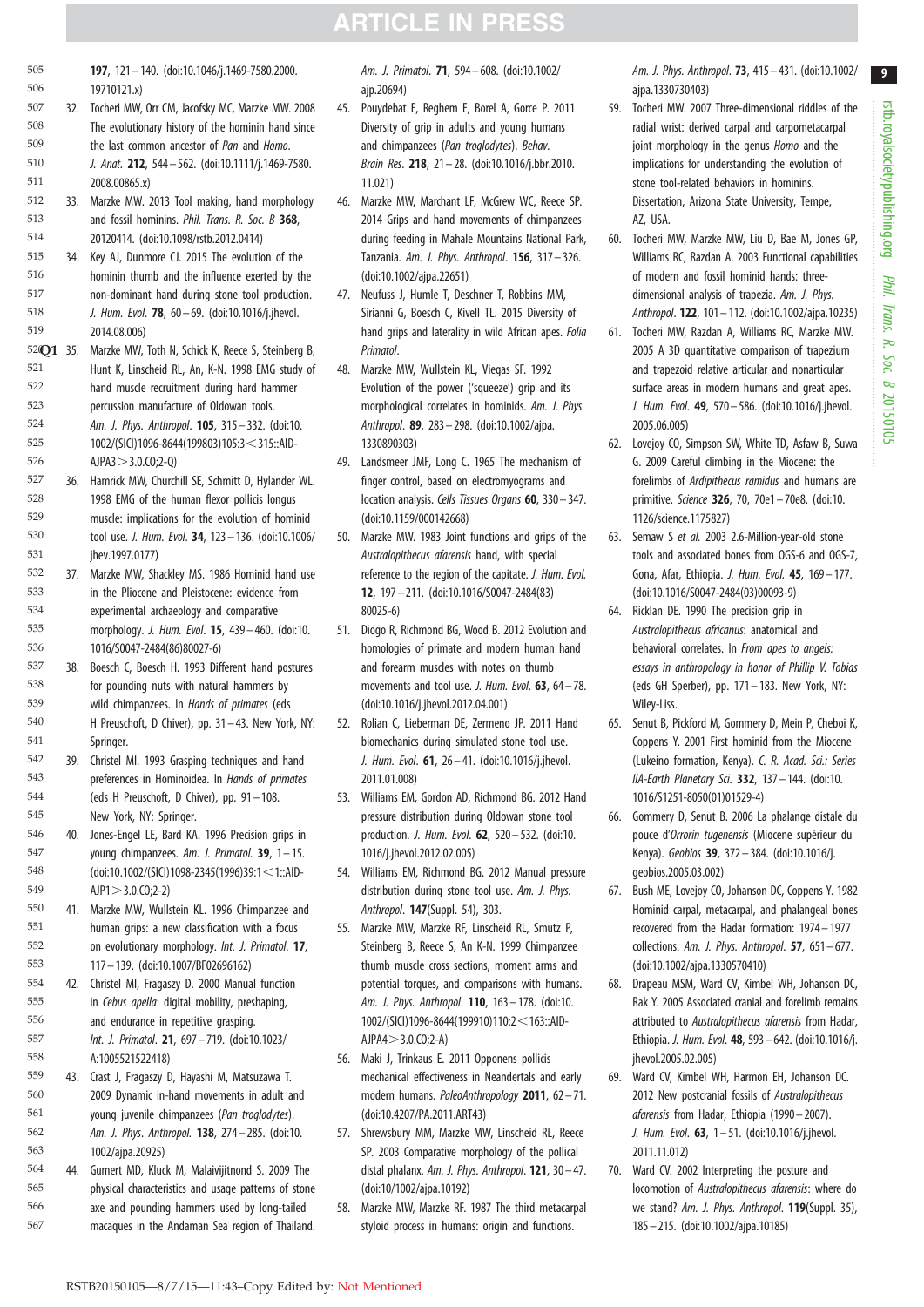- <span id="page-10-0"></span>197, 121– 140. [\(doi:10.1046/j.1469-7580.2000.](http://dx.doi.org/10.1046/j.1469-7580.2000.19710121.x) [19710121.x\)](http://dx.doi.org/10.1046/j.1469-7580.2000.19710121.x) 505 506
- 32. Tocheri MW, Orr CM, Jacofsky MC, Marzke MW. 2008 The evolutionary history of the hominin hand since the last common ancestor of *Pan* and *Homo*. *J. Anat.* 212, 544 – 562. ([doi:10.1111/j.1469-7580.](http://dx.doi.org/10.1111/j.1469-7580.2008.00865.x) [2008.00865.x\)](http://dx.doi.org/10.1111/j.1469-7580.2008.00865.x) 507 508 509 510 511
- 33. Marzke MW. 2013 Tool making, hand morphology and fossil hominins. *Phil. Trans. R. Soc. B* 368, 20120414. [\(doi:10.1098/rstb.2012.0414](http://dx.doi.org/10.1098/rstb.2012.0414)) 512 513 514
- 34. Key AJ, Dunmore CJ. 2015 The evolution of the hominin thumb and the influence exerted by the non-dominant hand during stone tool production. *J. Hum. Evol*. 78, 60 – 69. ([doi:10.1016/j.jhevol.](http://dx.doi.org/10.1016/j.jhevol.2014.08.006) [2014.08.006\)](http://dx.doi.org/10.1016/j.jhevol.2014.08.006) 515 516 517 518 519
- 52<sup>Q</sup>1 35. Marzke MW, Toth N, Schick K, Reece S, Steinberg B, Primatol. Hunt K, Linscheid RL, An, K-N. 1998 EMG study of hand muscle recruitment during hard hammer percussion manufacture of Oldowan tools. *Am. J. Phys. Anthropol*. 105, 315– 332. [\(doi:10.](http://dx.doi.org/10.1002/(SICI)1096-8644(199803)105:3%3C315::AID-AJPA3%3E3.0.CO;2-Q) [1002/\(SICI\)1096-8644\(199803\)105:3](http://dx.doi.org/10.1002/(SICI)1096-8644(199803)105:3%3C315::AID-AJPA3%3E3.0.CO;2-Q) < 315::AID- $APA3 > 3.0.C0;2-Q)$ 521 522 523 524 525 526
- 36. Hamrick MW, Churchill SE, Schmitt D, Hylander WL. 1998 EMG of the human flexor pollicis longus muscle: implications for the evolution of hominid tool use. *J. Hum. Evol*. 34, 123– 136. ([doi:10.1006/](http://dx.doi.org/10.1006/jhev.1997.0177) [jhev.1997.0177\)](http://dx.doi.org/10.1006/jhev.1997.0177) 527 528 529 530 531
- 37. Marzke MW, Shackley MS. 1986 Hominid hand use in the Pliocene and Pleistocene: evidence from experimental archaeology and comparative morphology. *J. Hum. Evol*. 15, 439– 460. [\(doi:10.](http://dx.doi.org/10.1016/S0047-2484(86)80027-6) [1016/S0047-2484\(86\)80027-6\)](http://dx.doi.org/10.1016/S0047-2484(86)80027-6) 532 533 534 535 536
- 38. Boesch C, Boesch H. 1993 Different hand postures for pounding nuts with natural hammers by wild chimpanzees. In *Hands of primates* (eds H Preuschoft, D Chiver), pp. 31-43. New York, NY: Springer. 537 538 539 540 541
- 39. Christel MI. 1993 Grasping techniques and hand preferences in Hominoidea. In *Hands of primates* (eds H Preuschoft, D Chiver), pp. 91 – 108. New York, NY: Springer. 542 543 544 545
- 40. Jones-Engel LE, Bard KA. 1996 Precision grips in young chimpanzees. *Am. J. Primatol.* 39, 1– 15.  $(doi:10.1002/(SICl)1098-2345(1996)39:1<1::AID AIP1 > 3.0(C0:2-2)$ 546 547 548 549
- 41. Marzke MW, Wullstein KL. 1996 Chimpanzee and human grips: a new classification with a focus on evolutionary morphology. *Int. J. Primatol*. 17, 117– 139. ([doi:10.1007/BF02696162\)](http://dx.doi.org/10.1007/BF02696162) 550 551 552 553
- 42. Christel MI, Fragaszy D. 2000 Manual function in *Cebus apella*: digital mobility, preshaping, and endurance in repetitive grasping. *Int. J. Primatol*. 21, 697– 719. [\(doi:10.1023/](http://dx.doi.org/10.1023/A:1005521522418) [A:1005521522418](http://dx.doi.org/10.1023/A:1005521522418)) 554 555 556 557 558
- 43. Crast J, Fragaszy D, Hayashi M, Matsuzawa T. 2009 Dynamic in-hand movements in adult and young juvenile chimpanzees (*Pan troglodytes*). *Am. J. Phys*. *Anthropol.* 138, 274– 285. [\(doi:10.](http://dx.doi.org/10.1002/ajpa.20925) [1002/ajpa.20925](http://dx.doi.org/10.1002/ajpa.20925)) 559 560 561 562 563
- 44. Gumert MD, Kluck M, Malaivijitnond S. 2009 The physical characteristics and usage patterns of stone axe and pounding hammers used by long-tailed macaques in the Andaman Sea region of Thailand. 564 565 566 567

*Am. J. Primatol*. 71, 594– 608. ([doi:10.1002/](http://dx.doi.org/10.1002/ajp.20694) [ajp.20694\)](http://dx.doi.org/10.1002/ajp.20694)

- 45. Pouydebat E, Reghem E, Borel A, Gorce P. 2011 Diversity of grip in adults and young humans and chimpanzees (*Pan troglodytes*). *Behav. Brain Res*. 218, 21 – 28. [\(doi:10.1016/j.bbr.2010.](http://dx.doi.org/10.1016/j.bbr.2010.11.021) [11.021](http://dx.doi.org/10.1016/j.bbr.2010.11.021))
- 46. Marzke MW, Marchant LF, McGrew WC, Reece SP. 2014 Grips and hand movements of chimpanzees during feeding in Mahale Mountains National Park, Tanzania. *Am. J. Phys. Anthropol*. 156, 317– 326. [\(doi:10.1002/ajpa.22651\)](http://dx.doi.org/10.1002/ajpa.22651)
- 47. Neufuss J, Humle T, Deschner T, Robbins MM, Sirianni G, Boesch C, Kivell TL. 2015 Diversity of hand grips and laterality in wild African apes. *Folia*
- 48. Marzke MW, Wullstein KL, Viegas SF. 1992 Evolution of the power ('squeeze') grip and its morphological correlates in hominids. *Am. J. Phys. Anthropol*. 89, 283– 298. ([doi:10.1002/ajpa.](http://dx.doi.org/10.1002/ajpa.1330890303) [1330890303\)](http://dx.doi.org/10.1002/ajpa.1330890303)
- 49. Landsmeer JMF, Long C. 1965 The mechanism of finger control, based on electromyograms and location analysis. *Cells Tissues Organs* 60, 330– 347. [\(doi:10.1159/000142668](http://dx.doi.org/10.1159/000142668))
- 50. Marzke MW. 1983 Joint functions and grips of the *Australopithecus afarensis* hand, with special reference to the region of the capitate. *J. Hum. Evol.* 12, 197– 211. ([doi:10.1016/S0047-2484\(83\)](http://dx.doi.org/10.1016/S0047-2484(83)80025-6) [80025-6\)](http://dx.doi.org/10.1016/S0047-2484(83)80025-6)
- 51. Diogo R, Richmond BG, Wood B. 2012 Evolution and homologies of primate and modern human hand and forearm muscles with notes on thumb movements and tool use. *J. Hum. Evol*. 63, 64 – 78. [\(doi:10.1016/j.jhevol.2012.04.001\)](http://dx.doi.org/10.1016/j.jhevol.2012.04.001)
- 52. Rolian C, Lieberman DE, Zermeno JP. 2011 Hand biomechanics during simulated stone tool use. *J. Hum. Evol*. 61, 26 – 41. ([doi:10.1016/j.jhevol.](http://dx.doi.org/10.1016/j.jhevol.2011.01.008) [2011.01.008\)](http://dx.doi.org/10.1016/j.jhevol.2011.01.008)
- 53. Williams EM, Gordon AD, Richmond BG. 2012 Hand pressure distribution during Oldowan stone tool production. *J. Hum. Evol*. 62, 520– 532. [\(doi:10.](http://dx.doi.org/10.1016/j.jhevol.2012.02.005) [1016/j.jhevol.2012.02.005](http://dx.doi.org/10.1016/j.jhevol.2012.02.005))
- 54. Williams EM, Richmond BG. 2012 Manual pressure distribution during stone tool use. *Am. J. Phys. Anthropol*. 147(Suppl. 54), 303.
- 55. Marzke MW, Marzke RF, Linscheid RL, Smutz P, Steinberg B, Reece S, An K-N. 1999 Chimpanzee thumb muscle cross sections, moment arms and potential torques, and comparisons with humans. *Am. J. Phys. Anthropol*. 110, 163 – 178. ([doi:10.](http://dx.doi.org/10.1002/(SICI)1096-8644(199910)110:2%3C163::AID-AJPA4%3E3.0.CO;2-A) [1002/\(SICI\)1096-8644\(199910\)110:2](http://dx.doi.org/10.1002/(SICI)1096-8644(199910)110:2%3C163::AID-AJPA4%3E3.0.CO;2-A) < 163::AID- $AJPA4 > 3.0.C0;2-A)$  $AJPA4 > 3.0.C0;2-A)$
- 56. Maki J, Trinkaus E. 2011 Opponens pollicis mechanical effectiveness in Neandertals and early modern humans. *PaleoAnthropology* 2011, 62 – 71. [\(doi:10.4207/PA.2011.ART43](http://dx.doi.org/10.4207/PA.2011.ART43))
- 57. Shrewsbury MM, Marzke MW, Linscheid RL, Reece SP. 2003 Comparative morphology of the pollical distal phalanx. *Am. J. Phys. Anthropol*. 121, 30 – 47. [\(doi:10/1002/ajpa.10192\)](http://dx.doi.org/10/1002/ajpa.10192)
- 58. Marzke MW, Marzke RF. 1987 The third metacarpal styloid process in humans: origin and functions.

*Am. J. Phys. Anthropol*. 73, 415 – 431. [\(doi:10.1002/](http://dx.doi.org/10.1002/ajpa.1330730403) [ajpa.1330730403\)](http://dx.doi.org/10.1002/ajpa.1330730403)

- 59. Tocheri MW. 2007 Three-dimensional riddles of the radial wrist: derived carpal and carpometacarpal joint morphology in the genus *Homo* and the implications for understanding the evolution of stone tool-related behaviors in hominins. Dissertation, Arizona State University, Tempe, AZ, USA.
- 60. Tocheri MW, Marzke MW, Liu D, Bae M, Jones GP, Williams RC, Razdan A. 2003 Functional capabilities of modern and fossil hominid hands: threedimensional analysis of trapezia. *Am. J. Phys. Anthropol*. 122, 101– 112. ([doi:10.1002/ajpa.10235](http://dx.doi.org/10.1002/ajpa.10235))
- 61. Tocheri MW, Razdan A, Williams RC, Marzke MW. 2005 A 3D quantitative comparison of trapezium and trapezoid relative articular and nonarticular surface areas in modern humans and great apes. *J. Hum. Evol*. 49, 570– 586. [\(doi:10.1016/j.jhevol.](http://dx.doi.org/10.1016/j.jhevol.2005.06.005) [2005.06.005](http://dx.doi.org/10.1016/j.jhevol.2005.06.005))
- 62. Lovejoy CO, Simpson SW, White TD, Asfaw B, Suwa G. 2009 Careful climbing in the Miocene: the forelimbs of *Ardipithecus ramidus* and humans are primitive. *Science* 326, 70, 70e1 – 70e8. [\(doi:10.](http://dx.doi.org/10.1126/science.1175827) [1126/science.1175827](http://dx.doi.org/10.1126/science.1175827))
- 63. Semaw S *et al.* 2003 2.6-Million-year-old stone tools and associated bones from OGS-6 and OGS-7, Gona, Afar, Ethiopia. *J. Hum. Evol.* 45, 169– 177. ([doi:10.1016/S0047-2484\(03\)00093-9](http://dx.doi.org/10.1016/S0047-2484(03)00093-9))
- 64. Ricklan DE. 1990 The precision grip in *Australopithecus africanus*: anatomical and behavioral correlates. In *From apes to angels: essays in anthropology in honor of Phillip V. Tobias* (eds GH Sperber), pp. 171– 183. New York, NY: Wiley-Liss.
- 65. Senut B, Pickford M, Gommery D, Mein P, Cheboi K, Coppens Y. 2001 First hominid from the Miocene (Lukeino formation, Kenya). *C. R. Acad. Sci.: Series IIA-Earth Planetary Sci.* 332, 137– 144. [\(doi:10.](http://dx.doi.org/10.1016/S1251-8050(01)01529-4) [1016/S1251-8050\(01\)01529-4](http://dx.doi.org/10.1016/S1251-8050(01)01529-4))
- 66. Gommery D, Senut B. 2006 La phalange distale du pouce d'Orrorin tugenensis (Miocene supérieur du Kenya). *Geobios* 39, 372 – 384. ([doi:10.1016/j.](http://dx.doi.org/10.1016/j.geobios.2005.03.002) [geobios.2005.03.002](http://dx.doi.org/10.1016/j.geobios.2005.03.002))
- 67. Bush ME, Lovejoy CO, Johanson DC, Coppens Y. 1982 Hominid carpal, metacarpal, and phalangeal bones recovered from the Hadar formation: 1974– 1977 collections. *Am. J. Phys. Anthropol*. 57, 651– 677. ([doi:10.1002/ajpa.1330570410\)](http://dx.doi.org/10.1002/ajpa.1330570410)
- 68. Drapeau MSM, Ward CV, Kimbel WH, Johanson DC, Rak Y. 2005 Associated cranial and forelimb remains attributed to *Australopithecus afarensis* from Hadar, Ethiopia. *J. Hum. Evol*. 48, 593– 642. ([doi:10.1016/j.](http://dx.doi.org/10.1016/j.jhevol.2005.02.005) ihevol.2005.02.005)
- 69. Ward CV, Kimbel WH, Harmon EH, Johanson DC. 2012 New postcranial fossils of *Australopithecus afarensis* from Hadar, Ethiopia (1990– 2007). *J. Hum. Evol*. 63, 1– 51. [\(doi:10.1016/j.jhevol.](http://dx.doi.org/10.1016/j.jhevol.2011.11.012) [2011.11.012](http://dx.doi.org/10.1016/j.jhevol.2011.11.012))
- 70. Ward CV. 2002 Interpreting the posture and locomotion of *Australopithecus afarensis*: where do we stand? *Am. J. Phys. Anthropol*. 119(Suppl. 35), 185– 215. [\(doi:10.1002/ajpa.10185\)](http://dx.doi.org/10.1002/ajpa.10185)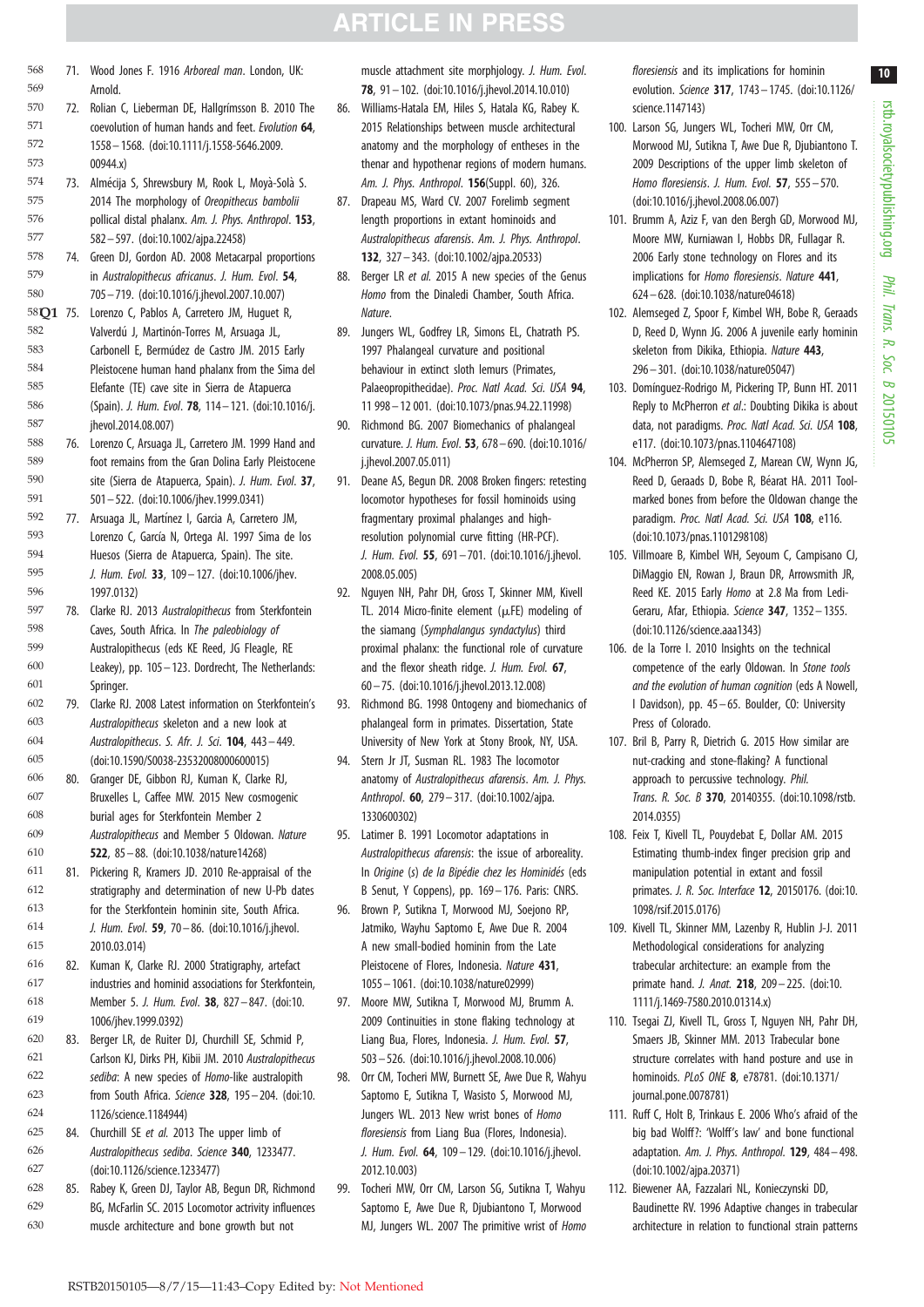coevolution of human hands and feet. *Evolution* 64, 1558 – 1568. [\(doi:10.1111/j.1558-5646.2009.](http://dx.doi.org/10.1111/j.1558-5646.2009.00944.x) [00944.x\)](http://dx.doi.org/10.1111/j.1558-5646.2009.00944.x) 73. Almécija S, Shrewsbury M, Rook L, Moyà-Solà S. 2014 The morphology of *Oreopithecus bambolii* pollical distal phalanx. *Am. J. Phys. Anthropol*. 153, 582– 597. ([doi:10.1002/ajpa.22458](http://dx.doi.org/10.1002/ajpa.22458)) 74. Green DJ, Gordon AD. 2008 Metacarpal proportions in *Australopithecus africanus*. *J. Hum. Evol*. 54, 705– 719. ([doi:10.1016/j.jhevol.2007.10.007](http://dx.doi.org/10.1016/j.jhevol.2007.10.007)) 58**Q1** 75. Lorenzo C, Pablos A, Carretero JM, Huguet R, Mature. Valverdú J, Martinón-Torres M, Arsuaga JL, Carbonell E, Bermúdez de Castro JM. 2015 Early Pleistocene human hand phalanx from the Sima del Elefante (TE) cave site in Sierra de Atapuerca (Spain). *J. Hum. Evol*. 78, 114– 121. [\(doi:10.1016/j.](http://dx.doi.org/10.1016/j.jhevol.2014.08.007) ihevol.2014.08.007) 76. Lorenzo C, Arsuaga JL, Carretero JM. 1999 Hand and foot remains from the Gran Dolina Early Pleistocene site (Sierra de Atapuerca, Spain). *J. Hum. Evol*. 37, 501– 522. ([doi:10.1006/jhev.1999.0341](http://dx.doi.org/10.1006/jhev.1999.0341)) 77. Arsuaga JL, Martínez I, Garcia A, Carretero JM, Lorenzo C, García N, Ortega AI, 1997 Sima de los Huesos (Sierra de Atapuerca, Spain). The site. *J. Hum. Evol.* 33, 109– 127. ([doi:10.1006/jhev.](http://dx.doi.org/10.1006/jhev.1997.0132) [1997.0132\)](http://dx.doi.org/10.1006/jhev.1997.0132) 78. Clarke RJ. 2013 *Australopithecus* from Sterkfontein Caves, South Africa. In *The paleobiology of* Australopithecus (eds KE Reed, JG Fleagle, RE Leakey), pp. 105– 123. Dordrecht, The Netherlands: Springer 79. Clarke RJ. 2008 Latest information on Sterkfontein's *Australopithecus* skeleton and a new look at *Australopithecus*. *S. Afr. J. Sci*. 104, 443– 449. [\(doi:10.1590/S0038-23532008000600015](http://dx.doi.org/10.1590/S0038-23532008000600015)) 80. Granger DE, Gibbon RJ, Kuman K, Clarke RJ, Bruxelles L, Caffee MW. 2015 New cosmogenic burial ages for Sterkfontein Member 2 *Australopithecus* and Member 5 Oldowan. *Nature* 522, 85 – 88. ([doi:10.1038/nature14268\)](http://dx.doi.org/10.1038/nature14268) 81. Pickering R, Kramers JD. 2010 Re-appraisal of the stratigraphy and determination of new U-Pb dates for the Sterkfontein hominin site, South Africa. *J. Hum. Evol*. 59, 70 – 86. ([doi:10.1016/j.jhevol.](http://dx.doi.org/10.1016/j.jhevol.2010.03.014) [2010.03.014\)](http://dx.doi.org/10.1016/j.jhevol.2010.03.014) 82. Kuman K, Clarke RJ. 2000 Stratigraphy, artefact industries and hominid associations for Sterkfontein, Member 5. *J. Hum. Evol*. 38, 827– 847. ([doi:10.](http://dx.doi.org/10.1006/jhev.1999.0392) [1006/jhev.1999.0392\)](http://dx.doi.org/10.1006/jhev.1999.0392) 83. Berger LR, de Ruiter DJ, Churchill SE, Schmid P, Carlson KJ, Dirks PH, Kibii JM. 2010 *Australopithecus sediba*: A new species of *Homo*-like australopith from South Africa. *Science* 328, 195– 204. [\(doi:10.](http://dx.doi.org/10.1126/science.1184944) [1126/science.1184944\)](http://dx.doi.org/10.1126/science.1184944) 84. Churchill SE *et al.* 2013 The upper limb of *Australopithecus sediba*. *Science* 340, 1233477. [\(doi:10.1126/science.1233477\)](http://dx.doi.org/10.1126/science.1233477) 85. Rabey K, Green DJ, Taylor AB, Begun DR, Richmond BG, McFarlin SC. 2015 Locomotor actrivity influences muscle architecture and bone growth but not 571 572 573 574 575 576 577 578 579 580 582 583 584 585 586 587 588 589 590 591 592 593 594 595 596 597 598 599 600 601 602 603 604 605 606 607 608 609 610 611 612 613 614 615 616 617 618 619 620 621 622 623 624 625 626 627 628 629 630

71. Wood Jones F. 1916 *Arboreal man*. London, UK:

72. Rolian C, Lieberman DE, Hallgrímsson B. 2010 The

Arnold.

569 570

<span id="page-11-0"></span>568 71. Wood Jones F. 1916 *Arboreal man*. London, UK: muscle attachment site morphjology. *J. Hum. Evol. floresiensis* and its implications for hominin 10 78, 91 – 102. [\(doi:10.1016/j.jhevol.2014.10.010\)](http://dx.doi.org/10.1016/j.jhevol.2014.10.010)

- 86. Williams-Hatala EM, Hiles S, Hatala KG, Rabey K. 2015 Relationships between muscle architectural anatomy and the morphology of entheses in the thenar and hypothenar regions of modern humans. *Am. J. Phys. Anthropol*. 156(Suppl. 60), 326.
- 87. Drapeau MS, Ward CV. 2007 Forelimb segment length proportions in extant hominoids and *Australopithecus afarensis*. *Am. J. Phys. Anthropol*. 132, 327 – 343. [\(doi:10.1002/ajpa.20533](http://dx.doi.org/10.1002/ajpa.20533))
- 88. Berger LR *et al.* 2015 A new species of the Genus *Homo* from the Dinaledi Chamber, South Africa.
- 89. Jungers WL, Godfrey LR, Simons EL, Chatrath PS. 1997 Phalangeal curvature and positional behaviour in extinct sloth lemurs (Primates, Palaeopropithecidae). *Proc. Natl Acad. Sci. USA* 94, 11 998– 12 001. [\(doi:10.1073/pnas.94.22.11998](http://dx.doi.org/10.1073/pnas.94.22.11998))
- 90. Richmond BG. 2007 Biomechanics of phalangeal curvature. *J. Hum. Evol*. 53, 678– 690. [\(doi:10.1016/](http://dx.doi.org/10.1016/j.jhevol.2007.05.011) [j.jhevol.2007.05.011](http://dx.doi.org/10.1016/j.jhevol.2007.05.011))
- 91. Deane AS, Begun DR. 2008 Broken fingers: retesting locomotor hypotheses for fossil hominoids using fragmentary proximal phalanges and highresolution polynomial curve fitting (HR-PCF). *J. Hum. Evol.* 55, 691 – 701. [\(doi:10.1016/j.jhevol.](http://dx.doi.org/10.1016/j.jhevol.2008.05.005) [2008.05.005\)](http://dx.doi.org/10.1016/j.jhevol.2008.05.005)
- 92. Nguyen NH, Pahr DH, Gross T, Skinner MM, Kivell TL. 2014 Micro-finite element ( $\mu$ FE) modeling of the siamang (*Symphalangus syndactylus*) third proximal phalanx: the functional role of curvature and the flexor sheath ridge. *J. Hum. Evol.* 67, 60 – 75. ([doi:10.1016/j.jhevol.2013.12.008](http://dx.doi.org/10.1016/j.jhevol.2013.12.008))
- 93. Richmond BG. 1998 Ontogeny and biomechanics of phalangeal form in primates. Dissertation, State University of New York at Stony Brook, NY, USA.
- 94. Stern Jr JT, Susman RL. 1983 The locomotor anatomy of *Australopithecus afarensis*. *Am. J. Phys. Anthropol*. 60, 279– 317. ([doi:10.1002/ajpa.](http://dx.doi.org/10.1002/ajpa.1330600302) [1330600302\)](http://dx.doi.org/10.1002/ajpa.1330600302)
- 95. Latimer B. 1991 Locomotor adaptations in *Australopithecus afarensis*: the issue of arboreality. In *Origine* (*s*) *de la Bipédie chez les Hominidés* (eds B Senut, Y Coppens), pp. 169– 176. Paris: CNRS.
- 96. Brown P, Sutikna T, Morwood MJ, Soejono RP, Jatmiko, Wayhu Saptomo E, Awe Due R. 2004 A new small-bodied hominin from the Late Pleistocene of Flores, Indonesia. *Nature* 431, 1055– 1061. [\(doi:10.1038/nature02999](http://dx.doi.org/10.1038/nature02999))
- 97. Moore MW, Sutikna T, Morwood MJ, Brumm A. 2009 Continuities in stone flaking technology at Liang Bua, Flores, Indonesia. *J. Hum. Evol.* 57, 503 – 526. [\(doi:10.1016/j.jhevol.2008.10.006](http://dx.doi.org/10.1016/j.jhevol.2008.10.006))
- 98. Orr CM, Tocheri MW, Burnett SE, Awe Due R, Wahyu Saptomo E, Sutikna T, Wasisto S, Morwood MJ, Jungers WL. 2013 New wrist bones of *Homo floresiensis* from Liang Bua (Flores, Indonesia). *J. Hum. Evol.* 64, 109 – 129. [\(doi:10.1016/j.jhevol.](http://dx.doi.org/10.1016/j.jhevol.2012.10.003) [2012.10.003\)](http://dx.doi.org/10.1016/j.jhevol.2012.10.003)
- 99. Tocheri MW, Orr CM, Larson SG, Sutikna T, Wahyu Saptomo E, Awe Due R, Djubiantono T, Morwood MJ, Jungers WL. 2007 The primitive wrist of *Homo*

*floresiensis* and its implications for hominin evolution. *Science* 317, 1743– 1745. [\(doi:10.1126/](http://dx.doi.org/10.1126/science.1147143) [science.1147143](http://dx.doi.org/10.1126/science.1147143))

- 100. Larson SG, Jungers WL, Tocheri MW, Orr CM, Morwood MJ, Sutikna T, Awe Due R, Djubiantono T. 2009 Descriptions of the upper limb skeleton of *Homo floresiensis*. *J. Hum. Evol.* 57, 555 – 570. ([doi:10.1016/j.jhevol.2008.06.007\)](http://dx.doi.org/10.1016/j.jhevol.2008.06.007)
- 101. Brumm A, Aziz F, van den Bergh GD, Morwood MJ, Moore MW, Kurniawan I, Hobbs DR, Fullagar R. 2006 Early stone technology on Flores and its implications for *Homo floresiensis*. *Nature* 441, 624– 628. [\(doi:10.1038/nature04618](http://dx.doi.org/10.1038/nature04618))
- 102. Alemseged Z, Spoor F, Kimbel WH, Bobe R, Geraads D, Reed D, Wynn JG. 2006 A juvenile early hominin skeleton from Dikika, Ethiopia. *Nature* 443, 296– 301. [\(doi:10.1038/nature05047](http://dx.doi.org/10.1038/nature05047))
- 103. Domínguez-Rodrigo M, Pickering TP, Bunn HT. 2011 Reply to McPherron *et al*.: Doubting Dikika is about data, not paradigms. *Proc. Natl Acad. Sci. USA* 108, e117. ([doi:10.1073/pnas.1104647108\)](http://dx.doi.org/10.1073/pnas.1104647108)
- 104. McPherron SP, Alemseged Z, Marean CW, Wynn JG, Reed D, Geraads D, Bobe R, Béarat HA, 2011 Toolmarked bones from before the Oldowan change the paradigm. *Proc. Natl Acad. Sci. USA* 108, e116. ([doi:10.1073/pnas.1101298108\)](http://dx.doi.org/10.1073/pnas.1101298108)
- 105. Villmoare B, Kimbel WH, Seyoum C, Campisano CJ, DiMaggio EN, Rowan J, Braun DR, Arrowsmith JR, Reed KE. 2015 Early *Homo* at 2.8 Ma from Ledi-Geraru, Afar, Ethiopia. *Science* 347, 1352 – 1355. ([doi:10.1126/science.aaa1343\)](http://dx.doi.org/10.1126/science.aaa1343)
- 106. de la Torre I. 2010 Insights on the technical competence of the early Oldowan. In *Stone tools and the evolution of human cognition* (eds A Nowell, I Davidson), pp. 45 – 65. Boulder, CO: University Press of Colorado.
- 107. Bril B, Parry R, Dietrich G. 2015 How similar are nut-cracking and stone-flaking? A functional approach to percussive technology. *Phil. Trans. R. Soc. B* 370, 20140355. ([doi:10.1098/rstb.](http://dx.doi.org/10.1098/rstb.2014.0355) [2014.0355](http://dx.doi.org/10.1098/rstb.2014.0355))
- 108. Feix T, Kivell TL, Pouydebat E, Dollar AM. 2015 Estimating thumb-index finger precision grip and manipulation potential in extant and fossil primates. *J. R. Soc. Interface* 12, 20150176. [\(doi:10.](http://dx.doi.org/10.1098/rsif.2015.0176) [1098/rsif.2015.0176](http://dx.doi.org/10.1098/rsif.2015.0176))
- 109. Kivell TL, Skinner MM, Lazenby R, Hublin J-J. 2011 Methodological considerations for analyzing trabecular architecture: an example from the primate hand. *J. Anat.* 218, 209– 225. [\(doi:10.](http://dx.doi.org/10.1111/j.1469-7580.2010.01314.x) [1111/j.1469-7580.2010.01314.x\)](http://dx.doi.org/10.1111/j.1469-7580.2010.01314.x)
- 110. Tsegai ZJ, Kivell TL, Gross T, Nguyen NH, Pahr DH, Smaers JB, Skinner MM. 2013 Trabecular bone structure correlates with hand posture and use in hominoids. *PLoS ONE* 8, e78781. [\(doi:10.1371/](http://dx.doi.org/10.1371/journal.pone.0078781) [journal.pone.0078781\)](http://dx.doi.org/10.1371/journal.pone.0078781)
- 111. Ruff C, Holt B, Trinkaus E. 2006 Who's afraid of the big bad Wolff?: 'Wolff's law' and bone functional adaptation. *Am. J. Phys. Anthropol.* 129, 484 – 498. ([doi:10.1002/ajpa.20371\)](http://dx.doi.org/10.1002/ajpa.20371)
- 112. Biewener AA, Fazzalari NL, Konieczynski DD, Baudinette RV. 1996 Adaptive changes in trabecular architecture in relation to functional strain patterns